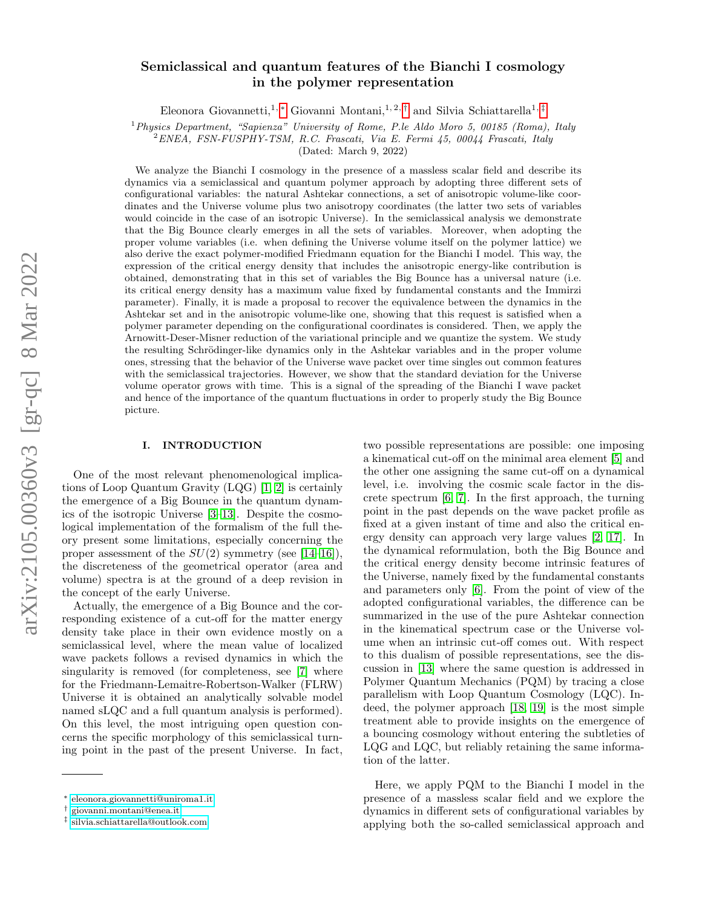# arXiv:2105.00360v3 [gr-qc] 8 Mar 2022 arXiv:2105.00360v3 [gr-qc] 8 Mar 2022

# Semiclassical and quantum features of the Bianchi I cosmology in the polymer representation

Eleonora Giovannetti,<sup>1, \*</sup> Giovanni Montani,<sup>1, 2, [†](#page-0-1)</sup> and Silvia Schiattarella<sup>1, [‡](#page-0-2)</sup>

<sup>1</sup>Physics Department, "Sapienza" University of Rome, P.le Aldo Moro 5, 00185 (Roma), Italy

 $^2$ ENEA, FSN-FUSPHY-TSM, R.C. Frascati, Via E. Fermi 45, 00044 Frascati, Italy

(Dated: March 9, 2022)

We analyze the Bianchi I cosmology in the presence of a massless scalar field and describe its dynamics via a semiclassical and quantum polymer approach by adopting three different sets of configurational variables: the natural Ashtekar connections, a set of anisotropic volume-like coordinates and the Universe volume plus two anisotropy coordinates (the latter two sets of variables would coincide in the case of an isotropic Universe). In the semiclassical analysis we demonstrate that the Big Bounce clearly emerges in all the sets of variables. Moreover, when adopting the proper volume variables (i.e. when defining the Universe volume itself on the polymer lattice) we also derive the exact polymer-modified Friedmann equation for the Bianchi I model. This way, the expression of the critical energy density that includes the anisotropic energy-like contribution is obtained, demonstrating that in this set of variables the Big Bounce has a universal nature (i.e. its critical energy density has a maximum value fixed by fundamental constants and the Immirzi parameter). Finally, it is made a proposal to recover the equivalence between the dynamics in the Ashtekar set and in the anisotropic volume-like one, showing that this request is satisfied when a polymer parameter depending on the configurational coordinates is considered. Then, we apply the Arnowitt-Deser-Misner reduction of the variational principle and we quantize the system. We study the resulting Schrödinger-like dynamics only in the Ashtekar variables and in the proper volume ones, stressing that the behavior of the Universe wave packet over time singles out common features with the semiclassical trajectories. However, we show that the standard deviation for the Universe volume operator grows with time. This is a signal of the spreading of the Bianchi I wave packet and hence of the importance of the quantum fluctuations in order to properly study the Big Bounce picture.

### I. INTRODUCTION

One of the most relevant phenomenological implications of Loop Quantum Gravity (LQG) [\[1,](#page-14-0) [2\]](#page-14-1) is certainly the emergence of a Big Bounce in the quantum dynamics of the isotropic Universe [\[3–](#page-14-2)[13\]](#page-14-3). Despite the cosmological implementation of the formalism of the full theory present some limitations, especially concerning the proper assessment of the  $SU(2)$  symmetry (see [\[14–](#page-14-4)[16\]](#page-14-5)), the discreteness of the geometrical operator (area and volume) spectra is at the ground of a deep revision in the concept of the early Universe.

Actually, the emergence of a Big Bounce and the corresponding existence of a cut-off for the matter energy density take place in their own evidence mostly on a semiclassical level, where the mean value of localized wave packets follows a revised dynamics in which the singularity is removed (for completeness, see [\[7\]](#page-14-6) where for the Friedmann-Lemaitre-Robertson-Walker (FLRW) Universe it is obtained an analytically solvable model named sLQC and a full quantum analysis is performed). On this level, the most intriguing open question concerns the specific morphology of this semiclassical turning point in the past of the present Universe. In fact,

two possible representations are possible: one imposing a kinematical cut-off on the minimal area element [\[5\]](#page-14-7) and the other one assigning the same cut-off on a dynamical level, i.e. involving the cosmic scale factor in the discrete spectrum [\[6,](#page-14-8) [7\]](#page-14-6). In the first approach, the turning point in the past depends on the wave packet profile as fixed at a given instant of time and also the critical energy density can approach very large values [\[2,](#page-14-1) [17\]](#page-14-9). In the dynamical reformulation, both the Big Bounce and the critical energy density become intrinsic features of the Universe, namely fixed by the fundamental constants and parameters only [\[6\]](#page-14-8). From the point of view of the adopted configurational variables, the difference can be summarized in the use of the pure Ashtekar connection in the kinematical spectrum case or the Universe volume when an intrinsic cut-off comes out. With respect to this dualism of possible representations, see the discussion in [\[13\]](#page-14-3) where the same question is addressed in Polymer Quantum Mechanics (PQM) by tracing a close parallelism with Loop Quantum Cosmology (LQC). Indeed, the polymer approach [\[18,](#page-14-10) [19\]](#page-14-11) is the most simple treatment able to provide insights on the emergence of a bouncing cosmology without entering the subtleties of LQG and LQC, but reliably retaining the same information of the latter.

Here, we apply PQM to the Bianchi I model in the presence of a massless scalar field and we explore the dynamics in different sets of configurational variables by applying both the so-called semiclassical approach and

<span id="page-0-0"></span><sup>∗</sup> [eleonora.giovannetti@uniroma1.it](mailto:eleonora.giovannetti@uniroma1.it)

<span id="page-0-1"></span><sup>†</sup> [giovanni.montani@enea.it](mailto:giovanni.montani@enea.it)

<span id="page-0-2"></span><sup>‡</sup> [silvia.schiattarella@outlook.com](mailto:silvia.schiattarella@outlook.com)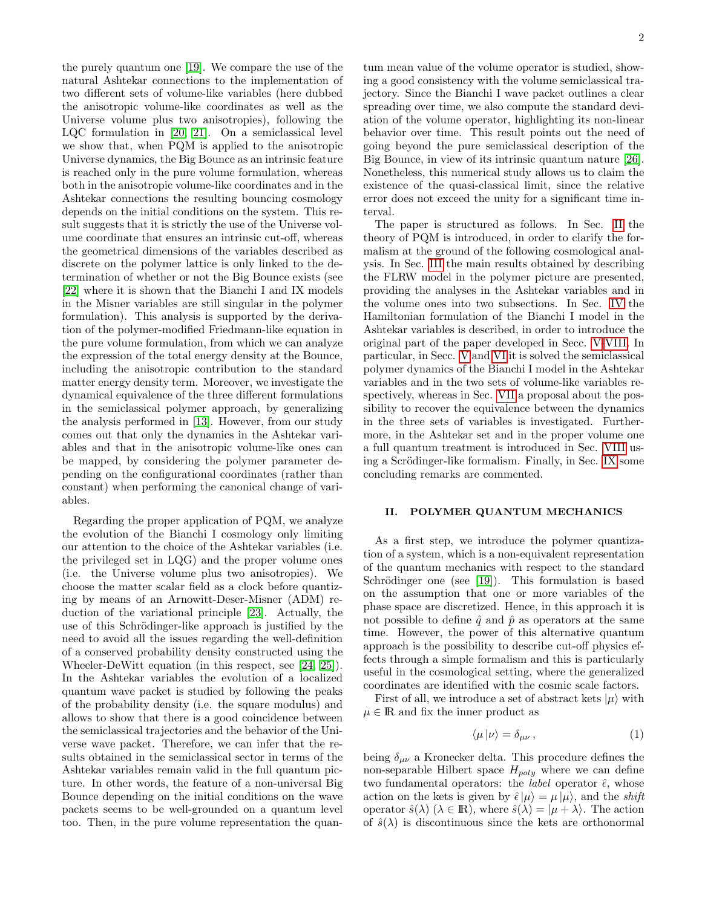the purely quantum one [\[19\]](#page-14-11). We compare the use of the natural Ashtekar connections to the implementation of two different sets of volume-like variables (here dubbed the anisotropic volume-like coordinates as well as the Universe volume plus two anisotropies), following the LQC formulation in [\[20,](#page-14-12) [21\]](#page-14-13). On a semiclassical level we show that, when PQM is applied to the anisotropic Universe dynamics, the Big Bounce as an intrinsic feature is reached only in the pure volume formulation, whereas both in the anisotropic volume-like coordinates and in the Ashtekar connections the resulting bouncing cosmology depends on the initial conditions on the system. This result suggests that it is strictly the use of the Universe volume coordinate that ensures an intrinsic cut-off, whereas the geometrical dimensions of the variables described as discrete on the polymer lattice is only linked to the determination of whether or not the Big Bounce exists (see [\[22\]](#page-14-14) where it is shown that the Bianchi I and IX models in the Misner variables are still singular in the polymer formulation). This analysis is supported by the derivation of the polymer-modified Friedmann-like equation in the pure volume formulation, from which we can analyze the expression of the total energy density at the Bounce, including the anisotropic contribution to the standard matter energy density term. Moreover, we investigate the dynamical equivalence of the three different formulations in the semiclassical polymer approach, by generalizing the analysis performed in [\[13\]](#page-14-3). However, from our study comes out that only the dynamics in the Ashtekar variables and that in the anisotropic volume-like ones can be mapped, by considering the polymer parameter depending on the configurational coordinates (rather than constant) when performing the canonical change of variables.

Regarding the proper application of PQM, we analyze the evolution of the Bianchi I cosmology only limiting our attention to the choice of the Ashtekar variables (i.e. the privileged set in LQG) and the proper volume ones (i.e. the Universe volume plus two anisotropies). We choose the matter scalar field as a clock before quantizing by means of an Arnowitt-Deser-Misner (ADM) reduction of the variational principle [\[23\]](#page-14-15). Actually, the use of this Schrödinger-like approach is justified by the need to avoid all the issues regarding the well-definition of a conserved probability density constructed using the Wheeler-DeWitt equation (in this respect, see [\[24,](#page-14-16) [25\]](#page-14-17)). In the Ashtekar variables the evolution of a localized quantum wave packet is studied by following the peaks of the probability density (i.e. the square modulus) and allows to show that there is a good coincidence between the semiclassical trajectories and the behavior of the Universe wave packet. Therefore, we can infer that the results obtained in the semiclassical sector in terms of the Ashtekar variables remain valid in the full quantum picture. In other words, the feature of a non-universal Big Bounce depending on the initial conditions on the wave packets seems to be well-grounded on a quantum level too. Then, in the pure volume representation the quantum mean value of the volume operator is studied, showing a good consistency with the volume semiclassical trajectory. Since the Bianchi I wave packet outlines a clear spreading over time, we also compute the standard deviation of the volume operator, highlighting its non-linear behavior over time. This result points out the need of going beyond the pure semiclassical description of the Big Bounce, in view of its intrinsic quantum nature [\[26\]](#page-14-18). Nonetheless, this numerical study allows us to claim the existence of the quasi-classical limit, since the relative error does not exceed the unity for a significant time interval.

The paper is structured as follows. In Sec. [II](#page-1-0) the theory of PQM is introduced, in order to clarify the formalism at the ground of the following cosmological analysis. In Sec. [III](#page-2-0) the main results obtained by describing the FLRW model in the polymer picture are presented, providing the analyses in the Ashtekar variables and in the volume ones into two subsections. In Sec. [IV](#page-4-0) the Hamiltonian formulation of the Bianchi I model in the Ashtekar variables is described, in order to introduce the original part of the paper developed in Secc. [V-](#page-5-0)[VIII.](#page-9-0) In particular, in Secc. [V](#page-5-0) and [VI](#page-5-1) it is solved the semiclassical polymer dynamics of the Bianchi I model in the Ashtekar variables and in the two sets of volume-like variables respectively, whereas in Sec. [VII](#page-8-0) a proposal about the possibility to recover the equivalence between the dynamics in the three sets of variables is investigated. Furthermore, in the Ashtekar set and in the proper volume one a full quantum treatment is introduced in Sec. [VIII](#page-9-0) us-ing a Scrödinger-like formalism. Finally, in Sec. [IX](#page-13-0) some concluding remarks are commented.

### <span id="page-1-0"></span>II. POLYMER QUANTUM MECHANICS

As a first step, we introduce the polymer quantization of a system, which is a non-equivalent representation of the quantum mechanics with respect to the standard Schrödinger one (see  $[19]$ ). This formulation is based on the assumption that one or more variables of the phase space are discretized. Hence, in this approach it is not possible to define  $\hat{q}$  and  $\hat{p}$  as operators at the same time. However, the power of this alternative quantum approach is the possibility to describe cut-off physics effects through a simple formalism and this is particularly useful in the cosmological setting, where the generalized coordinates are identified with the cosmic scale factors.

First of all, we introduce a set of abstract kets  $|\mu\rangle$  with  $\mu \in \mathbb{R}$  and fix the inner product as

$$
\langle \mu | \nu \rangle = \delta_{\mu\nu} , \qquad (1)
$$

being  $\delta_{\mu\nu}$  a Kronecker delta. This procedure defines the non-separable Hilbert space  $H_{poly}$  where we can define two fundamental operators: the *label* operator  $\hat{\epsilon}$ , whose action on the kets is given by  $\hat{\epsilon} | \mu \rangle = \mu | \mu \rangle$ , and the *shift* operator  $\hat{s}(\lambda)$  ( $\lambda \in \mathbb{R}$ ), where  $\hat{s}(\lambda) = |\mu + \lambda\rangle$ . The action of  $\hat{s}(\lambda)$  is discontinuous since the kets are orthonormal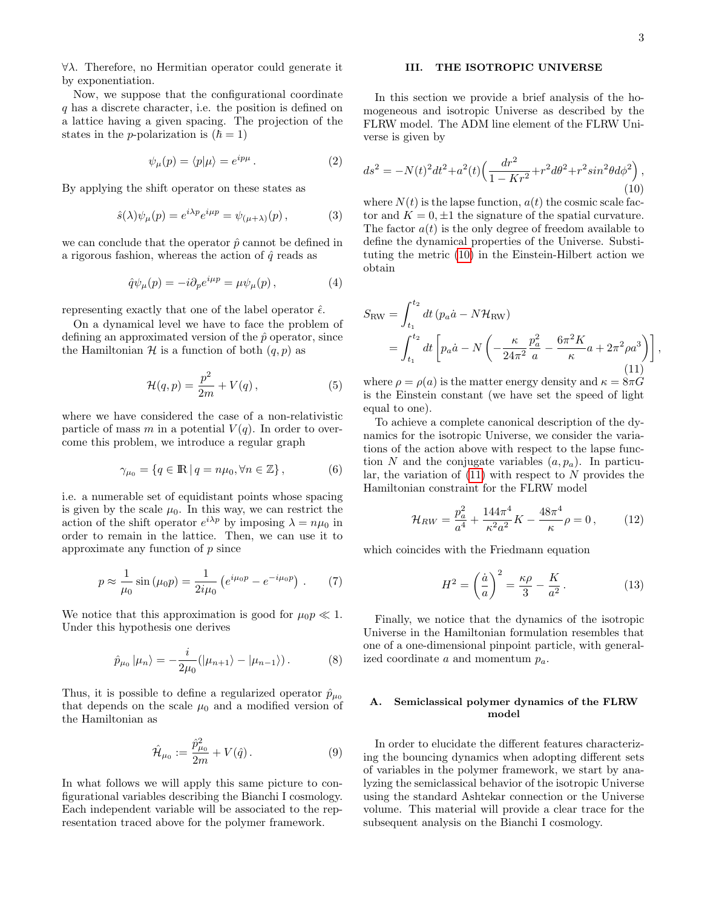∀λ. Therefore, no Hermitian operator could generate it by exponentiation.

Now, we suppose that the configurational coordinate q has a discrete character, i.e. the position is defined on a lattice having a given spacing. The projection of the states in the *p*-polarization is  $(\hbar = 1)$ 

$$
\psi_{\mu}(p) = \langle p|\mu \rangle = e^{ip\mu}.
$$
 (2)

By applying the shift operator on these states as

$$
\hat{s}(\lambda)\psi_{\mu}(p) = e^{i\lambda p}e^{i\mu p} = \psi_{(\mu+\lambda)}(p) , \qquad (3)
$$

we can conclude that the operator  $\hat{p}$  cannot be defined in a rigorous fashion, whereas the action of  $\hat{q}$  reads as

$$
\hat{q}\psi_{\mu}(p) = -i\partial_{p}e^{i\mu p} = \mu\psi_{\mu}(p) , \qquad (4)
$$

representing exactly that one of the label operator  $\hat{\epsilon}$ .

On a dynamical level we have to face the problem of defining an approximated version of the  $\hat{p}$  operator, since the Hamiltonian  $\mathcal H$  is a function of both  $(q, p)$  as

$$
\mathcal{H}(q,p) = \frac{p^2}{2m} + V(q),\tag{5}
$$

where we have considered the case of a non-relativistic particle of mass m in a potential  $V(q)$ . In order to overcome this problem, we introduce a regular graph

$$
\gamma_{\mu_0} = \{ q \in \mathbb{R} \, | \, q = n\mu_0, \forall n \in \mathbb{Z} \},\tag{6}
$$

i.e. a numerable set of equidistant points whose spacing is given by the scale  $\mu_0$ . In this way, we can restrict the action of the shift operator  $e^{i\lambda p}$  by imposing  $\lambda = n\mu_0$  in order to remain in the lattice. Then, we can use it to approximate any function of  $p$  since

<span id="page-2-4"></span>
$$
p \approx \frac{1}{\mu_0} \sin (\mu_0 p) = \frac{1}{2i\mu_0} \left( e^{i\mu_0 p} - e^{-i\mu_0 p} \right) . \tag{7}
$$

We notice that this approximation is good for  $\mu_0 p \ll 1$ . Under this hypothesis one derives

$$
\hat{p}_{\mu_0} |\mu_n\rangle = -\frac{i}{2\mu_0} (|\mu_{n+1}\rangle - |\mu_{n-1}\rangle). \tag{8}
$$

Thus, it is possible to define a regularized operator  $\hat{p}_{\mu_0}$ that depends on the scale  $\mu_0$  and a modified version of the Hamiltonian as

$$
\hat{\mathcal{H}}_{\mu_0} := \frac{\hat{p}_{\mu_0}^2}{2m} + V(\hat{q}).
$$
\n(9)

In what follows we will apply this same picture to configurational variables describing the Bianchi I cosmology. Each independent variable will be associated to the representation traced above for the polymer framework.

# <span id="page-2-0"></span>III. THE ISOTROPIC UNIVERSE

In this section we provide a brief analysis of the homogeneous and isotropic Universe as described by the FLRW model. The ADM line element of the FLRW Universe is given by

<span id="page-2-1"></span>
$$
ds^{2} = -N(t)^{2}dt^{2} + a^{2}(t)\left(\frac{dr^{2}}{1 - Kr^{2}} + r^{2}d\theta^{2} + r^{2}sin^{2}\theta d\phi^{2}\right),
$$
\n(10)

where  $N(t)$  is the lapse function,  $a(t)$  the cosmic scale factor and  $K = 0, \pm 1$  the signature of the spatial curvature. The factor  $a(t)$  is the only degree of freedom available to define the dynamical properties of the Universe. Substituting the metric [\(10\)](#page-2-1) in the Einstein-Hilbert action we obtain

<span id="page-2-2"></span>
$$
S_{\rm RW} = \int_{t_1}^{t_2} dt \left( p_a \dot{a} - N \mathcal{H}_{\rm RW} \right)
$$
  
= 
$$
\int_{t_1}^{t_2} dt \left[ p_a \dot{a} - N \left( -\frac{\kappa}{24\pi^2} \frac{p_a^2}{a} - \frac{6\pi^2 K}{\kappa} a + 2\pi^2 \rho a^3 \right) \right],
$$
  
(11)

where  $\rho = \rho(a)$  is the matter energy density and  $\kappa = 8\pi G$ is the Einstein constant (we have set the speed of light equal to one).

To achieve a complete canonical description of the dynamics for the isotropic Universe, we consider the variations of the action above with respect to the lapse function N and the conjugate variables  $(a, p_a)$ . In particular, the variation of  $(11)$  with respect to N provides the Hamiltonian constraint for the FLRW model

<span id="page-2-3"></span>
$$
\mathcal{H}_{RW} = \frac{p_a^2}{a^4} + \frac{144\pi^4}{\kappa^2 a^2} K - \frac{48\pi^4}{\kappa} \rho = 0, \qquad (12)
$$

which coincides with the Friedmann equation

$$
H^2 = \left(\frac{\dot{a}}{a}\right)^2 = \frac{\kappa \rho}{3} - \frac{K}{a^2}.
$$
 (13)

Finally, we notice that the dynamics of the isotropic Universe in the Hamiltonian formulation resembles that one of a one-dimensional pinpoint particle, with generalized coordinate a and momentum  $p_a$ .

### A. Semiclassical polymer dynamics of the FLRW model

In order to elucidate the different features characterizing the bouncing dynamics when adopting different sets of variables in the polymer framework, we start by analyzing the semiclassical behavior of the isotropic Universe using the standard Ashtekar connection or the Universe volume. This material will provide a clear trace for the subsequent analysis on the Bianchi I cosmology.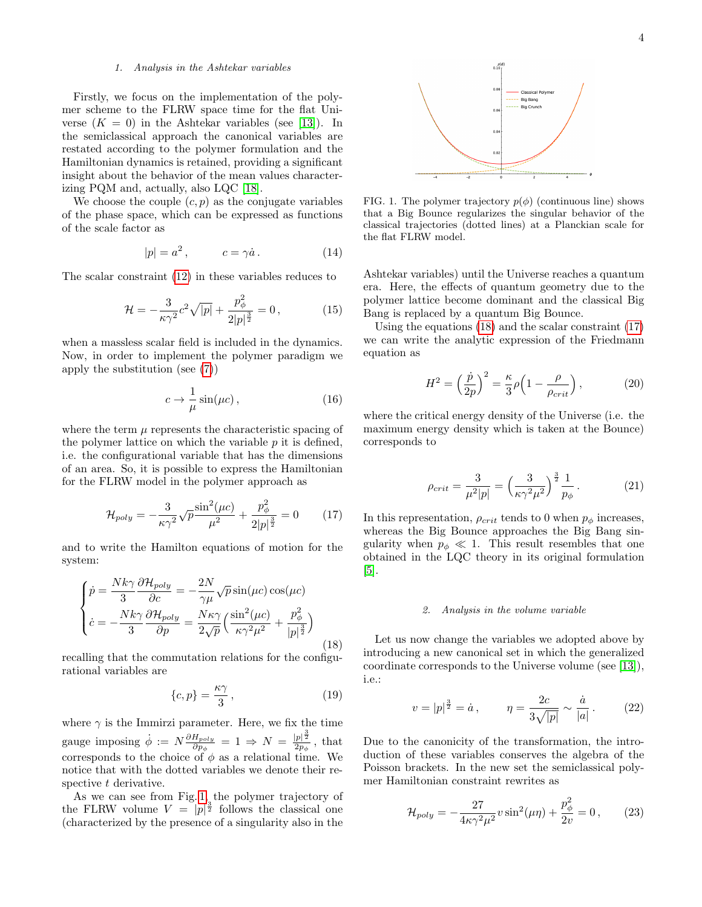### 1. Analysis in the Ashtekar variables

Firstly, we focus on the implementation of the polymer scheme to the FLRW space time for the flat Universe  $(K = 0)$  in the Ashtekar variables (see [\[13\]](#page-14-3)). In the semiclassical approach the canonical variables are restated according to the polymer formulation and the Hamiltonian dynamics is retained, providing a significant insight about the behavior of the mean values characterizing PQM and, actually, also LQC [\[18\]](#page-14-10).

We choose the couple  $(c, p)$  as the conjugate variables of the phase space, which can be expressed as functions of the scale factor as

$$
|p| = a^2, \qquad c = \gamma \dot{a}.
$$
 (14)

The scalar constraint [\(12\)](#page-2-3) in these variables reduces to

<span id="page-3-3"></span>
$$
\mathcal{H} = -\frac{3}{\kappa \gamma^2} c^2 \sqrt{|p|} + \frac{p_\phi^2}{2|p|^{\frac{3}{2}}} = 0, \qquad (15)
$$

when a massless scalar field is included in the dynamics. Now, in order to implement the polymer paradigm we apply the substitution (see [\(7\)](#page-2-4))

$$
c \to \frac{1}{\mu} \sin(\mu c) \,,\tag{16}
$$

where the term  $\mu$  represents the characteristic spacing of the polymer lattice on which the variable  $p$  it is defined, i.e. the configurational variable that has the dimensions of an area. So, it is possible to express the Hamiltonian for the FLRW model in the polymer approach as

<span id="page-3-2"></span>
$$
\mathcal{H}_{poly} = -\frac{3}{\kappa \gamma^2} \sqrt{p} \frac{\sin^2(\mu c)}{\mu^2} + \frac{p_\phi^2}{2|p|^{\frac{3}{2}}} = 0 \qquad (17)
$$

and to write the Hamilton equations of motion for the system:

<span id="page-3-1"></span>
$$
\begin{cases}\n\dot{p} = \frac{Nk\gamma}{3} \frac{\partial \mathcal{H}_{poly}}{\partial c} = -\frac{2N}{\gamma \mu} \sqrt{p} \sin(\mu c) \cos(\mu c) \\
\dot{c} = -\frac{Nk\gamma}{3} \frac{\partial \mathcal{H}_{poly}}{\partial p} = \frac{N\kappa \gamma}{2\sqrt{p}} \left(\frac{\sin^2(\mu c)}{\kappa \gamma^2 \mu^2} + \frac{p_\phi^2}{|p|^{\frac{3}{2}}}\right)\n\end{cases}
$$
\n(18)

recalling that the commutation relations for the configurational variables are

$$
\{c, p\} = \frac{\kappa \gamma}{3},\tag{19}
$$

where  $\gamma$  is the Immirzi parameter. Here, we fix the time gauge imposing  $\dot{\phi} := N \frac{\partial H_{poly}}{\partial n}$  $\frac{H_{poly}}{\partial p_{\phi}} \, = \, 1 \, \Rightarrow \, N \, = \, \frac{|p|^{\frac{3}{2}}}{2 p_{\phi}} \, , \, \text{that}$ corresponds to the choice of  $\phi$  as a relational time. We notice that with the dotted variables we denote their respective t derivative.

As we can see from Fig. [1,](#page-3-0) the polymer trajectory of the FLRW volume  $V = |p|^{\frac{3}{2}}$  follows the classical one (characterized by the presence of a singularity also in the



<span id="page-3-0"></span>FIG. 1. The polymer trajectory  $p(\phi)$  (continuous line) shows that a Big Bounce regularizes the singular behavior of the classical trajectories (dotted lines) at a Planckian scale for the flat FLRW model.

Ashtekar variables) until the Universe reaches a quantum era. Here, the effects of quantum geometry due to the polymer lattice become dominant and the classical Big Bang is replaced by a quantum Big Bounce.

Using the equations [\(18\)](#page-3-1) and the scalar constraint [\(17\)](#page-3-2) we can write the analytic expression of the Friedmann equation as

$$
H^2 = \left(\frac{\dot{p}}{2p}\right)^2 = \frac{\kappa}{3}\rho \left(1 - \frac{\rho}{\rho_{crit}}\right),\tag{20}
$$

where the critical energy density of the Universe (i.e. the maximum energy density which is taken at the Bounce) corresponds to

$$
\rho_{crit} = \frac{3}{\mu^2 |p|} = \left(\frac{3}{\kappa \gamma^2 \mu^2}\right)^{\frac{3}{2}} \frac{1}{p_{\phi}}.
$$
 (21)

In this representation,  $\rho_{crit}$  tends to 0 when  $p_{\phi}$  increases, whereas the Big Bounce approaches the Big Bang singularity when  $p_{\phi} \ll 1$ . This result resembles that one obtained in the LQC theory in its original formulation [\[5\]](#page-14-7).

### <span id="page-3-4"></span>2. Analysis in the volume variable

Let us now change the variables we adopted above by introducing a new canonical set in which the generalized coordinate corresponds to the Universe volume (see [\[13\]](#page-14-3)), i.e.:

$$
v = |p|^{\frac{3}{2}} = \dot{a}, \qquad \eta = \frac{2c}{3\sqrt{|p|}} \sim \frac{\dot{a}}{|a|}. \tag{22}
$$

Due to the canonicity of the transformation, the introduction of these variables conserves the algebra of the Poisson brackets. In the new set the semiclassical polymer Hamiltonian constraint rewrites as

$$
\mathcal{H}_{poly} = -\frac{27}{4\kappa\gamma^2\mu^2}v\sin^2(\mu\eta) + \frac{p_\phi^2}{2v} = 0\,,\qquad(23)
$$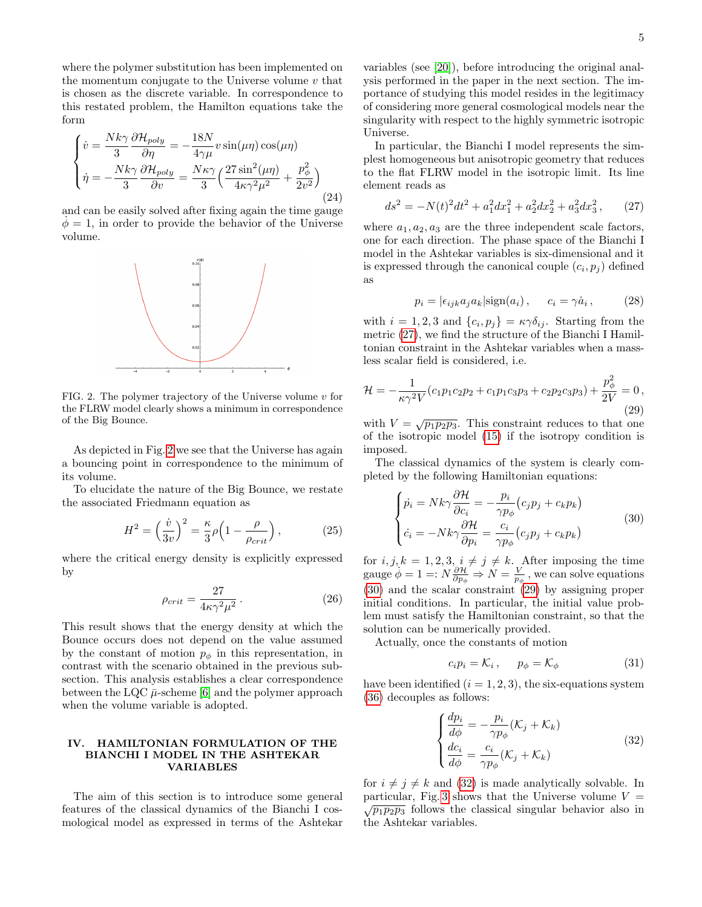where the polymer substitution has been implemented on the momentum conjugate to the Universe volume  $v$  that is chosen as the discrete variable. In correspondence to this restated problem, the Hamilton equations take the form

$$
\begin{cases}\n\dot{v} = \frac{Nk\gamma}{3} \frac{\partial \mathcal{H}_{poly}}{\partial \eta} = -\frac{18N}{4\gamma\mu} v \sin(\mu\eta) \cos(\mu\eta) \\
\dot{\eta} = -\frac{Nk\gamma}{3} \frac{\partial \mathcal{H}_{poly}}{\partial v} = \frac{N\kappa\gamma}{3} \left(\frac{27 \sin^2(\mu\eta)}{4\kappa\gamma^2\mu^2} + \frac{p_\phi^2}{2v^2}\right)\n\end{cases}
$$
\n(24)

and can be easily solved after fixing again the time gauge  $\phi = 1$ , in order to provide the behavior of the Universe volume.



<span id="page-4-1"></span>FIG. 2. The polymer trajectory of the Universe volume  $v$  for the FLRW model clearly shows a minimum in correspondence of the Big Bounce.

As depicted in Fig. [2](#page-4-1) we see that the Universe has again a bouncing point in correspondence to the minimum of its volume.

To elucidate the nature of the Big Bounce, we restate the associated Friedmann equation as

$$
H^2 = \left(\frac{\dot{v}}{3v}\right)^2 = \frac{\kappa}{3}\rho \left(1 - \frac{\rho}{\rho_{crit}}\right),\tag{25}
$$

where the critical energy density is explicitly expressed by

$$
\rho_{crit} = \frac{27}{4\kappa\gamma^2\mu^2} \,. \tag{26}
$$

This result shows that the energy density at which the Bounce occurs does not depend on the value assumed by the constant of motion  $p_{\phi}$  in this representation, in contrast with the scenario obtained in the previous subsection. This analysis establishes a clear correspondence between the LQC  $\bar{\mu}$ -scheme [\[6\]](#page-14-8) and the polymer approach when the volume variable is adopted.

### <span id="page-4-0"></span>IV. HAMILTONIAN FORMULATION OF THE BIANCHI I MODEL IN THE ASHTEKAR VARIABLES

The aim of this section is to introduce some general features of the classical dynamics of the Bianchi I cosmological model as expressed in terms of the Ashtekar

variables (see [\[20\]](#page-14-12)), before introducing the original analysis performed in the paper in the next section. The importance of studying this model resides in the legitimacy of considering more general cosmological models near the singularity with respect to the highly symmetric isotropic Universe.

In particular, the Bianchi I model represents the simplest homogeneous but anisotropic geometry that reduces to the flat FLRW model in the isotropic limit. Its line element reads as

$$
ds^{2} = -N(t)^{2}dt^{2} + a_{1}^{2}dx_{1}^{2} + a_{2}^{2}dx_{2}^{2} + a_{3}^{2}dx_{3}^{2}, \qquad (27)
$$

where  $a_1, a_2, a_3$  are the three independent scale factors, one for each direction. The phase space of the Bianchi I model in the Ashtekar variables is six-dimensional and it is expressed through the canonical couple  $(c_i, p_j)$  defined as

<span id="page-4-2"></span>
$$
p_i = |\epsilon_{ijk} a_j a_k| \text{sign}(a_i), \quad c_i = \gamma \dot{a}_i, \quad (28)
$$

with  $i = 1, 2, 3$  and  $\{c_i, p_j\} = \kappa \gamma \delta_{ij}$ . Starting from the metric [\(27\)](#page-4-2), we find the structure of the Bianchi I Hamiltonian constraint in the Ashtekar variables when a massless scalar field is considered, i.e.

<span id="page-4-4"></span>
$$
\mathcal{H} = -\frac{1}{\kappa \gamma^2 V} (c_1 p_1 c_2 p_2 + c_1 p_1 c_3 p_3 + c_2 p_2 c_3 p_3) + \frac{p_\phi^2}{2V} = 0,
$$
\n(29)

with  $V = \sqrt{p_1 p_2 p_3}$ . This constraint reduces to that one of the isotropic model [\(15\)](#page-3-3) if the isotropy condition is imposed.

The classical dynamics of the system is clearly completed by the following Hamiltonian equations:

<span id="page-4-3"></span>
$$
\begin{cases}\n\dot{p}_i = Nk\gamma \frac{\partial \mathcal{H}}{\partial c_i} = -\frac{p_i}{\gamma p_\phi} (c_j p_j + c_k p_k) \\
\dot{c}_i = -Nk\gamma \frac{\partial \mathcal{H}}{\partial p_i} = \frac{c_i}{\gamma p_\phi} (c_j p_j + c_k p_k)\n\end{cases} (30)
$$

for  $i, j, k = 1, 2, 3, i \neq j \neq k$ . After imposing the time gauge  $\phi = 1 =: N \frac{\partial \mathcal{H}}{\partial p_{\phi}} \Rightarrow N = \frac{V}{p_{\phi}}$ , we can solve equations [\(30\)](#page-4-3) and the scalar constraint [\(29\)](#page-4-4) by assigning proper initial conditions. In particular, the initial value problem must satisfy the Hamiltonian constraint, so that the solution can be numerically provided.

Actually, once the constants of motion

<span id="page-4-6"></span>
$$
c_i p_i = \mathcal{K}_i, \qquad p_\phi = \mathcal{K}_\phi \tag{31}
$$

have been identified  $(i = 1, 2, 3)$ , the six-equations system [\(36\)](#page-5-2) decouples as follows:

<span id="page-4-5"></span>
$$
\begin{cases}\n\frac{dp_i}{d\phi} = -\frac{p_i}{\gamma p_\phi} (\mathcal{K}_j + \mathcal{K}_k) \\
\frac{dc_i}{d\phi} = \frac{c_i}{\gamma p_\phi} (\mathcal{K}_j + \mathcal{K}_k)\n\end{cases}
$$
\n(32)

for  $i \neq j \neq k$  and [\(32\)](#page-4-5) is made analytically solvable. In particular, Fig. [3](#page-5-3) shows that the Universe volume  $V = \sqrt{p_1p_2p_3}$  follows the classical singular behavior also in the Ashtekar variables.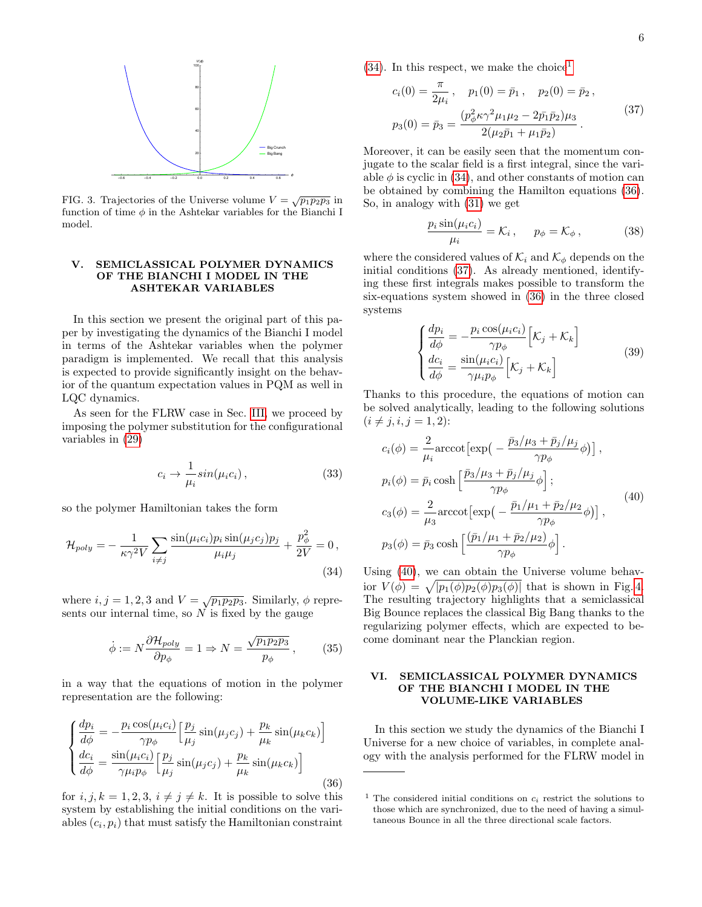

<span id="page-5-3"></span>FIG. 3. Trajectories of the Universe volume  $V = \sqrt{p_1 p_2 p_3}$  in function of time  $\phi$  in the Ashtekar variables for the Bianchi I model.

### <span id="page-5-0"></span>V. SEMICLASSICAL POLYMER DYNAMICS OF THE BIANCHI I MODEL IN THE ASHTEKAR VARIABLES

In this section we present the original part of this paper by investigating the dynamics of the Bianchi I model in terms of the Ashtekar variables when the polymer paradigm is implemented. We recall that this analysis is expected to provide significantly insight on the behavior of the quantum expectation values in PQM as well in LQC dynamics.

As seen for the FLRW case in Sec. [III,](#page-2-0) we proceed by imposing the polymer substitution for the configurational variables in [\(29\)](#page-4-4)

$$
c_i \to \frac{1}{\mu_i} sin(\mu_i c_i), \qquad (33)
$$

so the polymer Hamiltonian takes the form

$$
\mathcal{H}_{poly} = -\frac{1}{\kappa \gamma^2 V} \sum_{i \neq j} \frac{\sin(\mu_i c_i) p_i \sin(\mu_j c_j) p_j}{\mu_i \mu_j} + \frac{p_\phi^2}{2V} = 0,
$$
\n(34)

where  $i, j = 1, 2, 3$  and  $V = \sqrt{p_1 p_2 p_3}$ . Similarly,  $\phi$  represents our internal time, so  $N$  is fixed by the gauge

<span id="page-5-8"></span>
$$
\dot{\phi} := N \frac{\partial \mathcal{H}_{poly}}{\partial p_{\phi}} = 1 \Rightarrow N = \frac{\sqrt{p_1 p_2 p_3}}{p_{\phi}},
$$
 (35)

in a way that the equations of motion in the polymer representation are the following:

<span id="page-5-2"></span>
$$
\begin{cases}\n\frac{dp_i}{d\phi} = -\frac{p_i \cos(\mu_i c_i)}{\gamma p_\phi} \left[ \frac{p_j}{\mu_j} \sin(\mu_j c_j) + \frac{p_k}{\mu_k} \sin(\mu_k c_k) \right] \\
\frac{dc_i}{d\phi} = \frac{\sin(\mu_i c_i)}{\gamma \mu_i p_\phi} \left[ \frac{p_j}{\mu_j} \sin(\mu_j c_j) + \frac{p_k}{\mu_k} \sin(\mu_k c_k) \right]\n\end{cases} (36)
$$

for  $i, j, k = 1, 2, 3, i \neq j \neq k$ . It is possible to solve this system by establishing the initial conditions on the variables  $(c_i, p_i)$  that must satisfy the Hamiltonian constraint

 $(34)$ . In this respect, we make the choice<sup>[1](#page-5-5)</sup>

<span id="page-5-6"></span>
$$
c_i(0) = \frac{\pi}{2\mu_i}, \quad p_1(0) = \bar{p}_1, \quad p_2(0) = \bar{p}_2,
$$
  

$$
p_3(0) = \bar{p}_3 = \frac{(p_\phi^2 \kappa \gamma^2 \mu_1 \mu_2 - 2\bar{p}_1 \bar{p}_2)\mu_3}{2(\mu_2 \bar{p}_1 + \mu_1 \bar{p}_2)}.
$$

$$
(37)
$$

Moreover, it can be easily seen that the momentum conjugate to the scalar field is a first integral, since the variable  $\phi$  is cyclic in [\(34\)](#page-5-4), and other constants of motion can be obtained by combining the Hamilton equations [\(36\)](#page-5-2). So, in analogy with [\(31\)](#page-4-6) we get

$$
\frac{p_i \sin(\mu_i c_i)}{\mu_i} = \mathcal{K}_i, \quad p_\phi = \mathcal{K}_\phi, \tag{38}
$$

where the considered values of  $\mathcal{K}_i$  and  $\mathcal{K}_\phi$  depends on the initial conditions [\(37\)](#page-5-6). As already mentioned, identifying these first integrals makes possible to transform the six-equations system showed in [\(36\)](#page-5-2) in the three closed systems

$$
\begin{cases}\n\frac{dp_i}{d\phi} = -\frac{p_i \cos(\mu_i c_i)}{\gamma p_\phi} \left[ \mathcal{K}_j + \mathcal{K}_k \right] \\
\frac{dc_i}{d\phi} = \frac{\sin(\mu_i c_i)}{\gamma \mu_i p_\phi} \left[ \mathcal{K}_j + \mathcal{K}_k \right]\n\end{cases} \tag{39}
$$

Thanks to this procedure, the equations of motion can be solved analytically, leading to the following solutions  $(i \neq j, i, j = 1, 2):$ 

<span id="page-5-7"></span>
$$
c_i(\phi) = \frac{2}{\mu_i} \operatorname{arccot} \left[ \exp\left( -\frac{\bar{p}_3/\mu_3 + \bar{p}_j/\mu_j}{\gamma p_\phi} \phi \right) \right],
$$
  
\n
$$
p_i(\phi) = \bar{p}_i \cosh \left[ \frac{\bar{p}_3/\mu_3 + \bar{p}_j/\mu_j}{\gamma p_\phi} \phi \right];
$$
  
\n
$$
c_3(\phi) = \frac{2}{\mu_3} \operatorname{arccot} \left[ \exp\left( -\frac{\bar{p}_1/\mu_1 + \bar{p}_2/\mu_2}{\gamma p_\phi} \phi \right) \right],
$$
  
\n
$$
p_3(\phi) = \bar{p}_3 \cosh \left[ \frac{(\bar{p}_1/\mu_1 + \bar{p}_2/\mu_2)}{\gamma p_\phi} \phi \right].
$$
\n(40)

<span id="page-5-4"></span>Using [\(40\)](#page-5-7), we can obtain the Universe volume behavior  $V(\phi) = \sqrt{|p_1(\phi)p_2(\phi)p_3(\phi)|}$  that is shown in Fig. [4.](#page-6-0) The resulting trajectory highlights that a semiclassical Big Bounce replaces the classical Big Bang thanks to the regularizing polymer effects, which are expected to become dominant near the Planckian region.

### <span id="page-5-1"></span>VI. SEMICLASSICAL POLYMER DYNAMICS OF THE BIANCHI I MODEL IN THE VOLUME-LIKE VARIABLES

In this section we study the dynamics of the Bianchi I Universe for a new choice of variables, in complete analogy with the analysis performed for the FLRW model in

<span id="page-5-5"></span><sup>&</sup>lt;sup>1</sup> The considered initial conditions on  $c_i$  restrict the solutions to those which are synchronized, due to the need of having a simultaneous Bounce in all the three directional scale factors.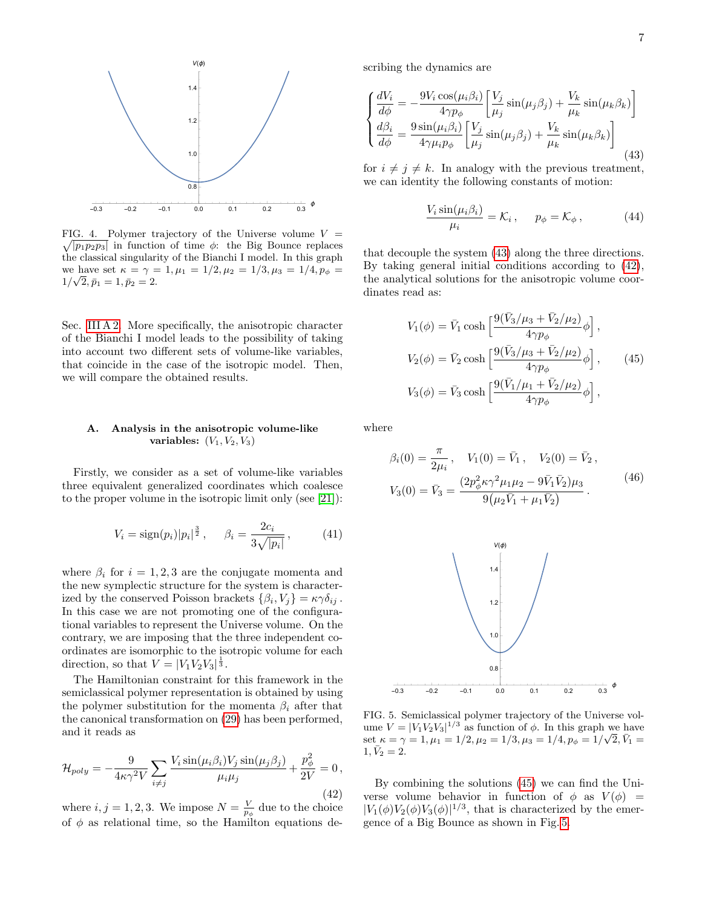

<span id="page-6-0"></span> $\sqrt{|p_1p_2p_3|}$  in function of time  $\phi$ : the Big Bounce replaces FIG. 4. Polymer trajectory of the Universe volume  $V =$ the classical singularity of the Bianchi I model. In this graph we have set  $\kappa = \gamma = 1, \mu_1 = 1/2, \mu_2 = 1/3, \mu_3 = 1/4, p_{\phi} =$  $1/\sqrt{2}, \bar{p}_1 = 1, \bar{p}_2 = 2.$ 

Sec. [III A 2.](#page-3-4) More specifically, the anisotropic character of the Bianchi I model leads to the possibility of taking into account two different sets of volume-like variables, that coincide in the case of the isotropic model. Then, we will compare the obtained results.

### A. Analysis in the anisotropic volume-like variables:  $(V_1, V_2, V_3)$

Firstly, we consider as a set of volume-like variables three equivalent generalized coordinates which coalesce to the proper volume in the isotropic limit only (see [\[21\]](#page-14-13)):

$$
V_i = sign(p_i)|p_i|^{\frac{3}{2}}, \quad \beta_i = \frac{2c_i}{3\sqrt{|p_i|}}, \quad (41)
$$

where  $\beta_i$  for  $i = 1, 2, 3$  are the conjugate momenta and the new symplectic structure for the system is characterized by the conserved Poisson brackets  $\{\beta_i, V_j\} = \kappa \gamma \delta_{ij}$ . In this case we are not promoting one of the configurational variables to represent the Universe volume. On the contrary, we are imposing that the three independent coordinates are isomorphic to the isotropic volume for each direction, so that  $V = |V_1V_2V_3|^{\frac{1}{3}}$ .

The Hamiltonian constraint for this framework in the semiclassical polymer representation is obtained by using the polymer substitution for the momenta  $\beta_i$  after that the canonical transformation on [\(29\)](#page-4-4) has been performed, and it reads as

<span id="page-6-2"></span>
$$
\mathcal{H}_{poly} = -\frac{9}{4\kappa\gamma^2 V} \sum_{i \neq j} \frac{V_i \sin(\mu_i \beta_i) V_j \sin(\mu_j \beta_j)}{\mu_i \mu_j} + \frac{p_\phi^2}{2V} = 0,
$$
\n(42)

where  $i, j = 1, 2, 3$ . We impose  $N = \frac{V}{p_{\phi}}$  due to the choice of  $\phi$  as relational time, so the Hamilton equations describing the dynamics are

<span id="page-6-1"></span>
$$
\begin{cases}\n\frac{dV_i}{d\phi} = -\frac{9V_i \cos(\mu_i \beta_i)}{4\gamma p_\phi} \left[ \frac{V_j}{\mu_j} \sin(\mu_j \beta_j) + \frac{V_k}{\mu_k} \sin(\mu_k \beta_k) \right] \\
\frac{d\beta_i}{d\phi} = \frac{9 \sin(\mu_i \beta_i)}{4\gamma \mu_i p_\phi} \left[ \frac{V_j}{\mu_j} \sin(\mu_j \beta_j) + \frac{V_k}{\mu_k} \sin(\mu_k \beta_k) \right] \\
\end{cases}
$$
\n(43)

for  $i \neq j \neq k$ . In analogy with the previous treatment, we can identity the following constants of motion:

$$
\frac{V_i \sin(\mu_i \beta_i)}{\mu_i} = \mathcal{K}_i, \quad p_\phi = \mathcal{K}_\phi, \tag{44}
$$

that decouple the system [\(43\)](#page-6-1) along the three directions. By taking general initial conditions according to [\(42\)](#page-6-2), the analytical solutions for the anisotropic volume coordinates read as:

<span id="page-6-3"></span>
$$
V_1(\phi) = \bar{V}_1 \cosh\left[\frac{9(\bar{V}_3/\mu_3 + \bar{V}_2/\mu_2)}{4\gamma p_\phi}\phi\right],
$$
  
\n
$$
V_2(\phi) = \bar{V}_2 \cosh\left[\frac{9(\bar{V}_3/\mu_3 + \bar{V}_2/\mu_2)}{4\gamma p_\phi}\phi\right],
$$
\n
$$
V_3(\phi) = \bar{V}_3 \cosh\left[\frac{9(\bar{V}_1/\mu_1 + \bar{V}_2/\mu_2)}{4\gamma p_\phi}\phi\right],
$$
\n(45)

where

$$
\beta_i(0) = \frac{\pi}{2\mu_i}, \quad V_1(0) = \bar{V}_1, \quad V_2(0) = \bar{V}_2,
$$
  

$$
V_3(0) = \bar{V}_3 = \frac{(2p_\phi^2 \kappa \gamma^2 \mu_1 \mu_2 - 9\bar{V}_1 \bar{V}_2)\mu_3}{9(\mu_2 \bar{V}_1 + \mu_1 \bar{V}_2)}.
$$
<sup>(46)</sup>



<span id="page-6-4"></span>FIG. 5. Semiclassical polymer trajectory of the Universe volume  $V = |V_1 V_2 V_3|^{1/3}$  as function of  $\phi$ . In this graph we have set  $\kappa = \gamma = 1, \mu_1 = 1/2, \mu_2 = 1/3, \mu_3 = 1/4, p_{\phi} = 1/\sqrt{2}, \bar{V}_1 =$  $1, V_2 = 2.$ 

By combining the solutions [\(45\)](#page-6-3) we can find the Universe volume behavior in function of  $\phi$  as  $V(\phi)$  =  $|V_1(\phi)V_2(\phi)V_3(\phi)|^{1/3}$ , that is characterized by the emergence of a Big Bounce as shown in Fig. [5.](#page-6-4)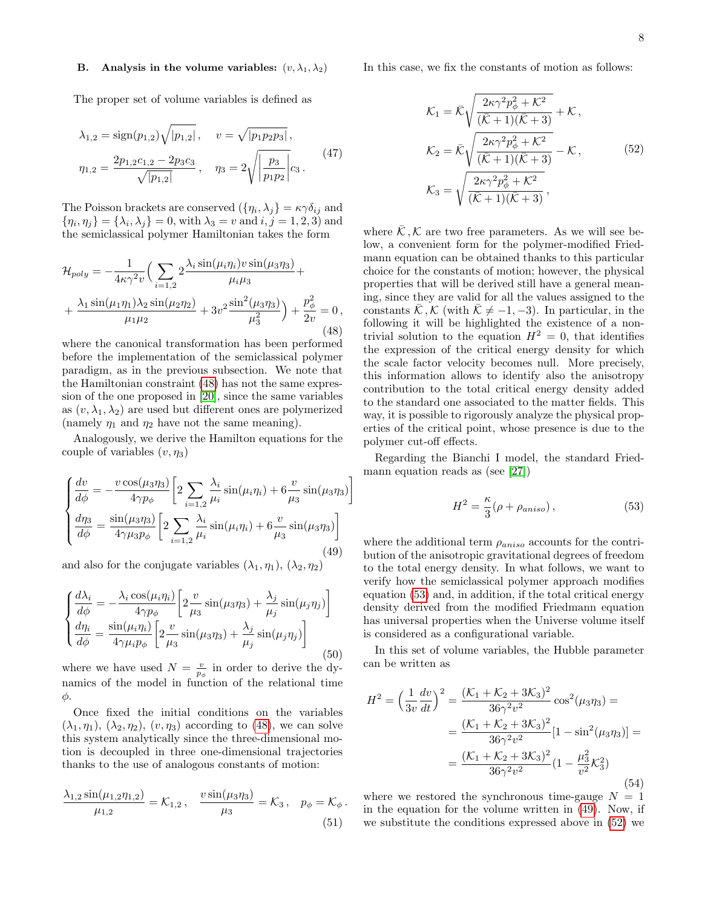### B. Analysis in the volume variables:  $(v, \lambda_1, \lambda_2)$

The proper set of volume variables is defined as

<span id="page-7-4"></span>
$$
\lambda_{1,2} = \text{sign}(p_{1,2}) \sqrt{|p_{1,2}|}, \quad v = \sqrt{|p_1 p_2 p_3|},
$$
  

$$
\eta_{1,2} = \frac{2p_{1,2}c_{1,2} - 2p_3c_3}{\sqrt{|p_{1,2}|}}, \quad \eta_3 = 2 \sqrt{\left|\frac{p_3}{p_1 p_2}\right|} c_3.
$$
 (47)

The Poisson brackets are conserved  $(\{\eta_i, \lambda_j\} = \kappa \gamma \delta_{ij} \text{ and } \delta_{ij}$  $\{\eta_i, \eta_j\} = \{\lambda_i, \lambda_j\} = 0$ , with  $\lambda_3 = v$  and  $i, j = 1, 2, 3$ ) and the semiclassical polymer Hamiltonian takes the form

<span id="page-7-0"></span>
$$
\mathcal{H}_{poly} = -\frac{1}{4\kappa\gamma^2 v} \Big( \sum_{i=1,2} 2\frac{\lambda_i \sin(\mu_i \eta_i) v \sin(\mu_3 \eta_3)}{\mu_i \mu_3} + \\ + \frac{\lambda_1 \sin(\mu_1 \eta_1) \lambda_2 \sin(\mu_2 \eta_2)}{\mu_1 \mu_2} + 3v^2 \frac{\sin^2(\mu_3 \eta_3)}{\mu_3^2} \Big) + \frac{p_\phi^2}{2v} = 0,
$$
\n(48)

where the canonical transformation has been performed before the implementation of the semiclassical polymer paradigm, as in the previous subsection. We note that the Hamiltonian constraint [\(48\)](#page-7-0) has not the same expression of the one proposed in [\[20\]](#page-14-12), since the same variables as  $(v, \lambda_1, \lambda_2)$  are used but different ones are polymerized (namely  $\eta_1$  and  $\eta_2$  have not the same meaning).

Analogously, we derive the Hamilton equations for the couple of variables  $(v, \eta_3)$ 

<span id="page-7-2"></span>
$$
\begin{cases}\n\frac{dv}{d\phi} = -\frac{v\cos(\mu_3\eta_3)}{4\gamma p_\phi} \left[ 2 \sum_{i=1,2} \frac{\lambda_i}{\mu_i} \sin(\mu_i \eta_i) + 6 \frac{v}{\mu_3} \sin(\mu_3 \eta_3) \right] \\
\frac{d\eta_3}{d\phi} = \frac{\sin(\mu_3\eta_3)}{4\gamma \mu_3 p_\phi} \left[ 2 \sum_{i=1,2} \frac{\lambda_i}{\mu_i} \sin(\mu_i \eta_i) + 6 \frac{v}{\mu_3} \sin(\mu_3 \eta_3) \right]\n\end{cases}
$$
\n(49)

and also for the conjugate variables  $(\lambda_1, \eta_1), (\lambda_2, \eta_2)$ 

$$
\begin{cases}\n\frac{d\lambda_i}{d\phi} = -\frac{\lambda_i \cos(\mu_i \eta_i)}{4\gamma p_\phi} \left[ 2\frac{v}{\mu_3} \sin(\mu_3 \eta_3) + \frac{\lambda_j}{\mu_j} \sin(\mu_j \eta_j) \right] \\
\frac{d\eta_i}{d\phi} = \frac{\sin(\mu_i \eta_i)}{4\gamma \mu_i p_\phi} \left[ 2\frac{v}{\mu_3} \sin(\mu_3 \eta_3) + \frac{\lambda_j}{\mu_j} \sin(\mu_j \eta_j) \right] \n\end{cases}
$$
\n(50)

where we have used  $N = \frac{v}{p_{\phi}}$  in order to derive the dynamics of the model in function of the relational time φ.

Once fixed the initial conditions on the variables  $(\lambda_1, \eta_1), (\lambda_2, \eta_2), (v, \eta_3)$  according to [\(48\)](#page-7-0), we can solve this system analytically since the three-dimensional motion is decoupled in three one-dimensional trajectories thanks to the use of analogous constants of motion:

$$
\frac{\lambda_{1,2}\sin(\mu_{1,2}\eta_{1,2})}{\mu_{1,2}} = \mathcal{K}_{1,2}, \quad \frac{v\sin(\mu_{3}\eta_{3})}{\mu_{3}} = \mathcal{K}_{3}, \quad p_{\phi} = \mathcal{K}_{\phi}.
$$
\n(51)

In this case, we fix the constants of motion as follows:

<span id="page-7-3"></span>
$$
\mathcal{K}_1 = \bar{\mathcal{K}} \sqrt{\frac{2\kappa \gamma^2 p_\phi^2 + \mathcal{K}^2}{(\bar{\mathcal{K}} + 1)(\bar{\mathcal{K}} + 3)}} + \mathcal{K},
$$
\n
$$
\mathcal{K}_2 = \bar{\mathcal{K}} \sqrt{\frac{2\kappa \gamma^2 p_\phi^2 + \mathcal{K}^2}{(\bar{\mathcal{K}} + 1)(\bar{\mathcal{K}} + 3)}} - \mathcal{K},
$$
\n
$$
\mathcal{K}_3 = \sqrt{\frac{2\kappa \gamma^2 p_\phi^2 + \mathcal{K}^2}{(\bar{\mathcal{K}} + 1)(\bar{\mathcal{K}} + 3)}},
$$
\n(52)

where  $\overline{\mathcal{K}}$ ,  $\mathcal{K}$  are two free parameters. As we will see below, a convenient form for the polymer-modified Friedmann equation can be obtained thanks to this particular choice for the constants of motion; however, the physical properties that will be derived still have a general meaning, since they are valid for all the values assigned to the constants K, K (with  $K \neq -1, -3$ ). In particular, in the following it will be highlighted the existence of a nontrivial solution to the equation  $H^2 = 0$ , that identifies the expression of the critical energy density for which the scale factor velocity becomes null. More precisely, this information allows to identify also the anisotropy contribution to the total critical energy density added to the standard one associated to the matter fields. This way, it is possible to rigorously analyze the physical properties of the critical point, whose presence is due to the polymer cut-off effects.

Regarding the Bianchi I model, the standard Friedmann equation reads as (see [\[27\]](#page-14-19))

<span id="page-7-1"></span>
$$
H^2 = \frac{\kappa}{3} (\rho + \rho_{aniso}), \qquad (53)
$$

where the additional term  $\rho_{aniso}$  accounts for the contribution of the anisotropic gravitational degrees of freedom to the total energy density. In what follows, we want to verify how the semiclassical polymer approach modifies equation [\(53\)](#page-7-1) and, in addition, if the total critical energy density derived from the modified Friedmann equation has universal properties when the Universe volume itself is considered as a configurational variable.

In this set of volume variables, the Hubble parameter can be written as

$$
H^{2} = \left(\frac{1}{3v}\frac{dv}{dt}\right)^{2} = \frac{(\mathcal{K}_{1} + \mathcal{K}_{2} + 3\mathcal{K}_{3})^{2}}{36\gamma^{2}v^{2}}\cos^{2}(\mu_{3}\eta_{3}) =
$$

$$
= \frac{(\mathcal{K}_{1} + \mathcal{K}_{2} + 3\mathcal{K}_{3})^{2}}{36\gamma^{2}v^{2}}[1 - \sin^{2}(\mu_{3}\eta_{3})] =
$$

$$
= \frac{(\mathcal{K}_{1} + \mathcal{K}_{2} + 3\mathcal{K}_{3})^{2}}{36\gamma^{2}v^{2}}(1 - \frac{\mu_{3}^{2}}{v^{2}}\mathcal{K}_{3}^{2})
$$
(54)

where we restored the synchronous time-gauge  $N = 1$ in the equation for the volume written in [\(49\)](#page-7-2). Now, if we substitute the conditions expressed above in [\(52\)](#page-7-3) we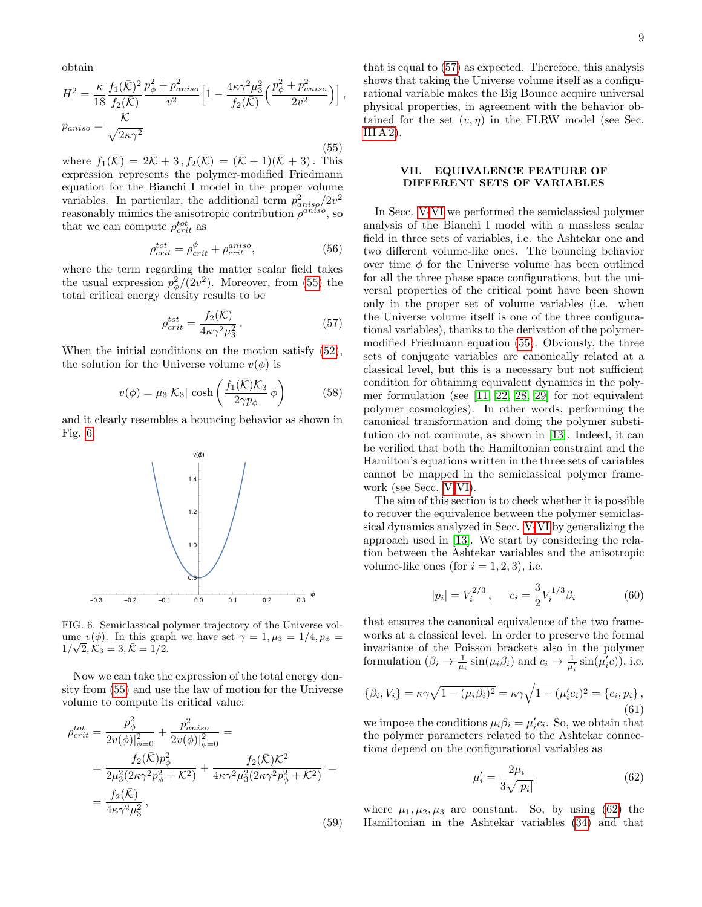obtain

<span id="page-8-1"></span>
$$
H^{2} = \frac{\kappa}{18} \frac{f_{1}(\bar{\mathcal{K}})^{2}}{f_{2}(\bar{\mathcal{K}})} \frac{p_{\phi}^{2} + p_{aniso}^{2}}{v^{2}} \left[ 1 - \frac{4\kappa\gamma^{2} \mu_{3}^{2}}{f_{2}(\bar{\mathcal{K}})} \left( \frac{p_{\phi}^{2} + p_{aniso}^{2}}{2v^{2}} \right) \right],
$$
  
\n
$$
p_{aniso} = \frac{\mathcal{K}}{\sqrt{2\kappa\gamma^{2}}} \tag{55}
$$

where  $f_1(\bar{\mathcal{K}}) = 2\bar{\mathcal{K}} + 3$ ,  $f_2(\bar{\mathcal{K}}) = (\bar{\mathcal{K}} + 1)(\bar{\mathcal{K}} + 3)$ . This expression represents the polymer-modified Friedmann equation for the Bianchi I model in the proper volume variables. In particular, the additional term  $p_{aniso}^2/2v^2$ reasonably mimics the anisotropic contribution  $\rho^{aniso}$ , so that we can compute  $\rho_{crit}^{tot}$  as

$$
\rho_{crit}^{tot} = \rho_{crit}^{\phi} + \rho_{crit}^{aniso},\tag{56}
$$

where the term regarding the matter scalar field takes the usual expression  $p_{\phi}^2/(2v^2)$ . Moreover, from [\(55\)](#page-8-1) the total critical energy density results to be

<span id="page-8-3"></span>
$$
\rho_{crit}^{tot} = \frac{f_2(\bar{\mathcal{K}})}{4\kappa\gamma^2\mu_3^2} \,. \tag{57}
$$

When the initial conditions on the motion satisfy [\(52\)](#page-7-3), the solution for the Universe volume  $v(\phi)$  is

<span id="page-8-5"></span>
$$
v(\phi) = \mu_3 |\mathcal{K}_3| \cosh\left(\frac{f_1(\bar{\mathcal{K}})\mathcal{K}_3}{2\gamma p_\phi} \phi\right) \tag{58}
$$

and it clearly resembles a bouncing behavior as shown in Fig. [6.](#page-8-2)



<span id="page-8-2"></span>FIG. 6. Semiclassical polymer trajectory of the Universe volume  $v(\phi)$ . In this graph we have set  $\gamma = 1, \mu_3 = 1/4, p_{\phi} =$  $1/\sqrt{2}, \mathcal{K}_3 = 3, \bar{\mathcal{K}} = 1/2.$ 

Now we can take the expression of the total energy density from [\(55\)](#page-8-1) and use the law of motion for the Universe volume to compute its critical value:

$$
\rho_{crit}^{tot} = \frac{p_{\phi}^2}{2v(\phi)|_{\phi=0}^2} + \frac{p_{aniso}^2}{2v(\phi)|_{\phi=0}^2} =
$$
  
= 
$$
\frac{f_2(\bar{K})p_{\phi}^2}{2\mu_3^2(2\kappa\gamma^2p_{\phi}^2 + \mathcal{K}^2)} + \frac{f_2(\bar{K})\mathcal{K}^2}{4\kappa\gamma^2\mu_3^2(2\kappa\gamma^2p_{\phi}^2 + \mathcal{K}^2)} =
$$
  
= 
$$
\frac{f_2(\bar{K})}{4\kappa\gamma^2\mu_3^2},
$$
(59)

that is equal to [\(57\)](#page-8-3) as expected. Therefore, this analysis shows that taking the Universe volume itself as a configurational variable makes the Big Bounce acquire universal physical properties, in agreement with the behavior obtained for the set  $(v, \eta)$  in the FLRW model (see Sec. [III A 2\)](#page-3-4).

# <span id="page-8-0"></span>VII. EQUIVALENCE FEATURE OF DIFFERENT SETS OF VARIABLES

In Secc. [V-](#page-5-0)[VI](#page-5-1) we performed the semiclassical polymer analysis of the Bianchi I model with a massless scalar field in three sets of variables, i.e. the Ashtekar one and two different volume-like ones. The bouncing behavior over time  $\phi$  for the Universe volume has been outlined for all the three phase space configurations, but the universal properties of the critical point have been shown only in the proper set of volume variables (i.e. when the Universe volume itself is one of the three configurational variables), thanks to the derivation of the polymermodified Friedmann equation [\(55\)](#page-8-1). Obviously, the three sets of conjugate variables are canonically related at a classical level, but this is a necessary but not sufficient condition for obtaining equivalent dynamics in the polymer formulation (see [\[11,](#page-14-20) [22,](#page-14-14) [28,](#page-14-21) [29\]](#page-14-22) for not equivalent polymer cosmologies). In other words, performing the canonical transformation and doing the polymer substitution do not commute, as shown in [\[13\]](#page-14-3). Indeed, it can be verified that both the Hamiltonian constraint and the Hamilton's equations written in the three sets of variables cannot be mapped in the semiclassical polymer framework (see Secc. [V-](#page-5-0)[VI\)](#page-5-1).

The aim of this section is to check whether it is possible to recover the equivalence between the polymer semiclassical dynamics analyzed in Secc. [V](#page-5-0)[-VI](#page-5-1) by generalizing the approach used in [\[13\]](#page-14-3). We start by considering the relation between the Ashtekar variables and the anisotropic volume-like ones (for  $i = 1, 2, 3$ ), i.e.

$$
|p_i| = V_i^{2/3}, \quad c_i = \frac{3}{2} V_i^{1/3} \beta_i \tag{60}
$$

that ensures the canonical equivalence of the two frameworks at a classical level. In order to preserve the formal invariance of the Poisson brackets also in the polymer formulation  $(\beta_i \to \frac{1}{\mu_i} \sin(\mu_i \beta_i)$  and  $c_i \to \frac{1}{\mu'_i} \sin(\mu'_i c))$ , i.e.

$$
\{\beta_i, V_i\} = \kappa \gamma \sqrt{1 - (\mu_i \beta_i)^2} = \kappa \gamma \sqrt{1 - (\mu'_i c_i)^2} = \{c_i, p_i\},
$$
\n(61)

we impose the conditions  $\mu_i \beta_i = \mu'_i c_i$ . So, we obtain that the polymer parameters related to the Ashtekar connections depend on the configurational variables as

<span id="page-8-4"></span>
$$
\mu_i' = \frac{2\mu_i}{3\sqrt{|p_i|}}\tag{62}
$$

where  $\mu_1, \mu_2, \mu_3$  are constant. So, by using [\(62\)](#page-8-4) the Hamiltonian in the Ashtekar variables [\(34\)](#page-5-4) and that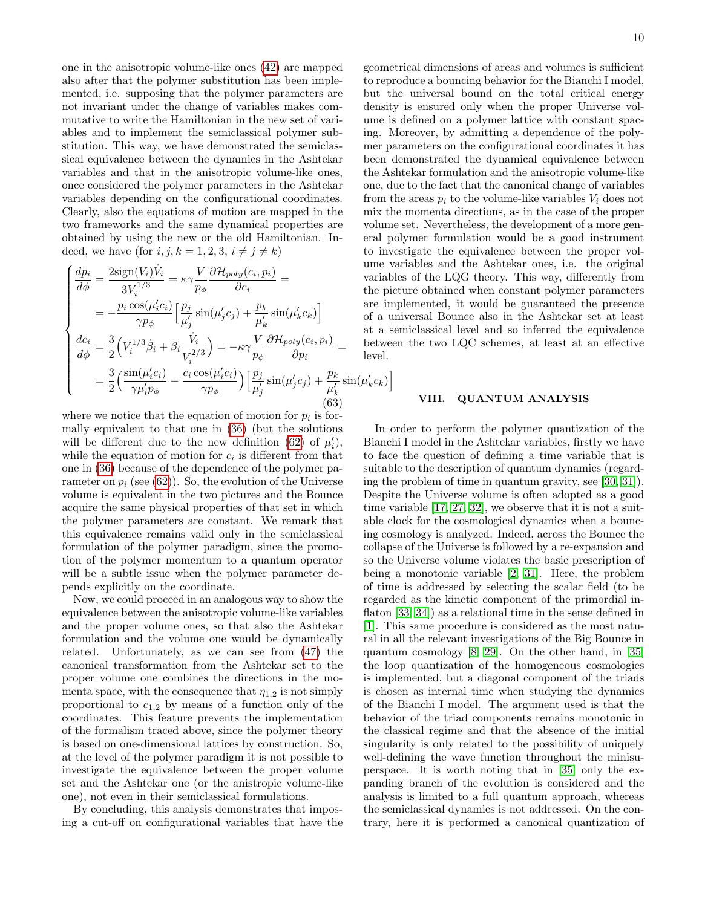one in the anisotropic volume-like ones [\(42\)](#page-6-2) are mapped also after that the polymer substitution has been implemented, i.e. supposing that the polymer parameters are not invariant under the change of variables makes commutative to write the Hamiltonian in the new set of variables and to implement the semiclassical polymer substitution. This way, we have demonstrated the semiclassical equivalence between the dynamics in the Ashtekar variables and that in the anisotropic volume-like ones, once considered the polymer parameters in the Ashtekar variables depending on the configurational coordinates. Clearly, also the equations of motion are mapped in the two frameworks and the same dynamical properties are obtained by using the new or the old Hamiltonian. Indeed, we have (for  $i, j, k = 1, 2, 3, i \neq j \neq k$ )

$$
\begin{cases}\n\frac{dp_i}{d\phi} = \frac{2\text{sign}(V_i)\dot{V}_i}{3V_i^{1/3}} = \kappa \gamma \frac{V}{p_{\phi}} \frac{\partial \mathcal{H}_{poly}(c_i, p_i)}{\partial c_i} = & \text{time with } \text{the point } \mathcal{H} \text{ with } \mathcal{H} \text{ with } \mathcal{H} \text{ with } \mathcal{H} \text{ with } \mathcal{H} \text{ with } \mathcal{H} \text{ with } \mathcal{H} \text{ with } \mathcal{H} \text{ with } \mathcal{H} \text{ with } \mathcal{H} \text{ with } \mathcal{H} \text{ with } \mathcal{H} \text{ with } \mathcal{H} \text{ with } \mathcal{H} \text{ with } \mathcal{H} \text{ with } \mathcal{H} \text{ with } \mathcal{H} \text{ with } \mathcal{H} \text{ with } \mathcal{H} \text{ with } \mathcal{H} \text{ with } \mathcal{H} \text{ with } \mathcal{H} \text{ with } \mathcal{H} \text{ with } \mathcal{H} \text{ with } \mathcal{H} \text{ with } \mathcal{H} \text{ with } \mathcal{H} \text{ with } \mathcal{H} \text{ with } \mathcal{H} \text{ with } \mathcal{H} \text{ with } \mathcal{H} \text{ with } \mathcal{H} \text{ with } \mathcal{H} \text{ with } \mathcal{H} \text{ with } \mathcal{H} \text{ with } \mathcal{H} \text{ with } \mathcal{H} \text{ with } \mathcal{H} \text{ with } \mathcal{H} \text{ with } \mathcal{H} \text{ with } \mathcal{H} \text{ with } \mathcal{H} \text{ with } \mathcal{H} \text{ with } \mathcal{H} \text{ with } \mathcal{H} \text{ with } \mathcal{H} \text{ with } \mathcal{H} \text{ with } \mathcal{H} \text{ with } \mathcal{H} \text{ with } \mathcal{H} \text{ with } \mathcal{H} \text{ with } \mathcal{H} \text{ with } \mathcal{H} \text{ with } \mathcal{H} \text{ with } \mathcal{H} \text{ with } \mathcal{H} \text{ with } \mathcal{H} \text{ with } \mathcal{H} \text{ with } \mathcal{H} \text{ with } \mathcal{H} \text{ with } \mathcal{
$$

where we notice that the equation of motion for  $p_i$  is formally equivalent to that one in [\(36\)](#page-5-2) (but the solutions will be different due to the new definition [\(62\)](#page-8-4) of  $\mu'_i$ ), while the equation of motion for  $c_i$  is different from that one in [\(36\)](#page-5-2) because of the dependence of the polymer parameter on  $p_i$  (see [\(62\)](#page-8-4)). So, the evolution of the Universe volume is equivalent in the two pictures and the Bounce acquire the same physical properties of that set in which the polymer parameters are constant. We remark that this equivalence remains valid only in the semiclassical formulation of the polymer paradigm, since the promotion of the polymer momentum to a quantum operator will be a subtle issue when the polymer parameter depends explicitly on the coordinate.

Now, we could proceed in an analogous way to show the equivalence between the anisotropic volume-like variables and the proper volume ones, so that also the Ashtekar formulation and the volume one would be dynamically related. Unfortunately, as we can see from [\(47\)](#page-7-4) the canonical transformation from the Ashtekar set to the proper volume one combines the directions in the momenta space, with the consequence that  $\eta_{1,2}$  is not simply proportional to  $c_{1,2}$  by means of a function only of the coordinates. This feature prevents the implementation of the formalism traced above, since the polymer theory is based on one-dimensional lattices by construction. So, at the level of the polymer paradigm it is not possible to investigate the equivalence between the proper volume set and the Ashtekar one (or the anistropic volume-like one), not even in their semiclassical formulations.

By concluding, this analysis demonstrates that imposing a cut-off on configurational variables that have the geometrical dimensions of areas and volumes is sufficient to reproduce a bouncing behavior for the Bianchi I model, but the universal bound on the total critical energy density is ensured only when the proper Universe volume is defined on a polymer lattice with constant spacing. Moreover, by admitting a dependence of the polymer parameters on the configurational coordinates it has been demonstrated the dynamical equivalence between the Ashtekar formulation and the anisotropic volume-like one, due to the fact that the canonical change of variables from the areas  $p_i$  to the volume-like variables  $V_i$  does not mix the momenta directions, as in the case of the proper volume set. Nevertheless, the development of a more general polymer formulation would be a good instrument to investigate the equivalence between the proper volume variables and the Ashtekar ones, i.e. the original variables of the LQG theory. This way, differently from he picture obtained when constant polymer parameters are implemented, it would be guaranteed the presence f a universal Bounce also in the Ashtekar set at least at a semiclassical level and so inferred the equivalence between the two LQC schemes, at least at an effective level.

### <span id="page-9-0"></span>VIII. QUANTUM ANALYSIS

In order to perform the polymer quantization of the Bianchi I model in the Ashtekar variables, firstly we have to face the question of defining a time variable that is suitable to the description of quantum dynamics (regarding the problem of time in quantum gravity, see [\[30,](#page-14-23) [31\]](#page-14-24)). Despite the Universe volume is often adopted as a good time variable [\[17,](#page-14-9) [27,](#page-14-19) [32\]](#page-15-0), we observe that it is not a suitable clock for the cosmological dynamics when a bouncing cosmology is analyzed. Indeed, across the Bounce the collapse of the Universe is followed by a re-expansion and so the Universe volume violates the basic prescription of being a monotonic variable [\[2,](#page-14-1) [31\]](#page-14-24). Here, the problem of time is addressed by selecting the scalar field (to be regarded as the kinetic component of the primordial inflaton [\[33,](#page-15-1) [34\]](#page-15-2)) as a relational time in the sense defined in [\[1\]](#page-14-0). This same procedure is considered as the most natural in all the relevant investigations of the Big Bounce in quantum cosmology [\[8,](#page-14-25) [29\]](#page-14-22). On the other hand, in [\[35\]](#page-15-3) the loop quantization of the homogeneous cosmologies is implemented, but a diagonal component of the triads is chosen as internal time when studying the dynamics of the Bianchi I model. The argument used is that the behavior of the triad components remains monotonic in the classical regime and that the absence of the initial singularity is only related to the possibility of uniquely well-defining the wave function throughout the minisuperspace. It is worth noting that in [\[35\]](#page-15-3) only the expanding branch of the evolution is considered and the analysis is limited to a full quantum approach, whereas the semiclassical dynamics is not addressed. On the contrary, here it is performed a canonical quantization of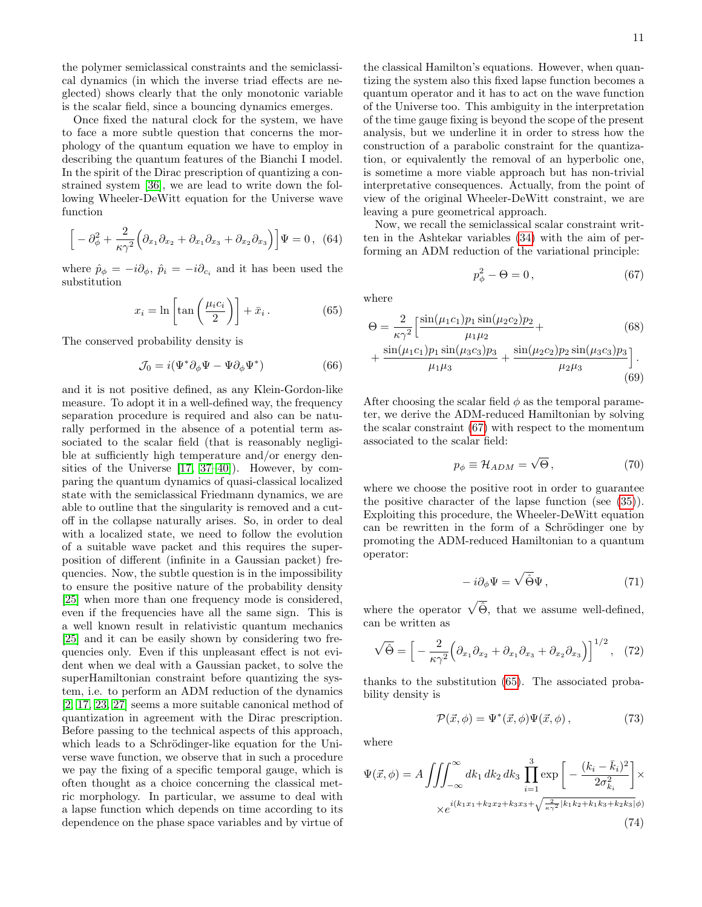the polymer semiclassical constraints and the semiclassical dynamics (in which the inverse triad effects are neglected) shows clearly that the only monotonic variable is the scalar field, since a bouncing dynamics emerges.

Once fixed the natural clock for the system, we have to face a more subtle question that concerns the morphology of the quantum equation we have to employ in describing the quantum features of the Bianchi I model. In the spirit of the Dirac prescription of quantizing a constrained system [\[36\]](#page-15-4), we are lead to write down the following Wheeler-DeWitt equation for the Universe wave function

$$
\[ -\partial_{\phi}^2 + \frac{2}{\kappa \gamma^2} \Big( \partial_{x_1} \partial_{x_2} + \partial_{x_1} \partial_{x_3} + \partial_{x_2} \partial_{x_3} \Big) \] \Psi = 0, \tag{64}
$$

where  $\hat{p}_{\phi} = -i\partial_{\phi}$ ,  $\hat{p}_i = -i\partial_{c_i}$  and it has been used the substitution

<span id="page-10-1"></span>
$$
x_i = \ln\left[\tan\left(\frac{\mu_i c_i}{2}\right)\right] + \bar{x}_i.
$$
 (65)

The conserved probability density is

$$
\mathcal{J}_0 = i(\Psi^* \partial_{\phi} \Psi - \Psi \partial_{\phi} \Psi^*)
$$
 (66)

and it is not positive defined, as any Klein-Gordon-like measure. To adopt it in a well-defined way, the frequency separation procedure is required and also can be naturally performed in the absence of a potential term associated to the scalar field (that is reasonably negligible at sufficiently high temperature and/or energy densities of the Universe [\[17,](#page-14-9) [37–](#page-15-5)[40\]](#page-15-6)). However, by comparing the quantum dynamics of quasi-classical localized state with the semiclassical Friedmann dynamics, we are able to outline that the singularity is removed and a cutoff in the collapse naturally arises. So, in order to deal with a localized state, we need to follow the evolution of a suitable wave packet and this requires the superposition of different (infinite in a Gaussian packet) frequencies. Now, the subtle question is in the impossibility to ensure the positive nature of the probability density [\[25\]](#page-14-17) when more than one frequency mode is considered, even if the frequencies have all the same sign. This is a well known result in relativistic quantum mechanics [\[25\]](#page-14-17) and it can be easily shown by considering two frequencies only. Even if this unpleasant effect is not evident when we deal with a Gaussian packet, to solve the superHamiltonian constraint before quantizing the system, i.e. to perform an ADM reduction of the dynamics [\[2,](#page-14-1) [17,](#page-14-9) [23,](#page-14-15) [27\]](#page-14-19) seems a more suitable canonical method of quantization in agreement with the Dirac prescription. Before passing to the technical aspects of this approach, which leads to a Schrödinger-like equation for the Universe wave function, we observe that in such a procedure we pay the fixing of a specific temporal gauge, which is often thought as a choice concerning the classical metric morphology. In particular, we assume to deal with a lapse function which depends on time according to its dependence on the phase space variables and by virtue of

the classical Hamilton's equations. However, when quantizing the system also this fixed lapse function becomes a quantum operator and it has to act on the wave function of the Universe too. This ambiguity in the interpretation of the time gauge fixing is beyond the scope of the present analysis, but we underline it in order to stress how the construction of a parabolic constraint for the quantization, or equivalently the removal of an hyperbolic one, is sometime a more viable approach but has non-trivial interpretative consequences. Actually, from the point of view of the original Wheeler-DeWitt constraint, we are leaving a pure geometrical approach.

Now, we recall the semiclassical scalar constraint written in the Ashtekar variables [\(34\)](#page-5-4) with the aim of performing an ADM reduction of the variational principle:

<span id="page-10-0"></span>
$$
p_{\phi}^2 - \Theta = 0, \qquad (67)
$$

where

$$
\Theta = \frac{2}{\kappa \gamma^2} \left[ \frac{\sin(\mu_1 c_1) p_1 \sin(\mu_2 c_2) p_2}{\mu_1 \mu_2} + \frac{\sin(\mu_1 c_1) p_1 \sin(\mu_3 c_3) p_3}{\mu_1 \mu_3} + \frac{\sin(\mu_2 c_2) p_2 \sin(\mu_3 c_3) p_3}{\mu_2 \mu_3} \right].
$$
\n(69)

After choosing the scalar field  $\phi$  as the temporal parameter, we derive the ADM-reduced Hamiltonian by solving the scalar constraint [\(67\)](#page-10-0) with respect to the momentum associated to the scalar field:

$$
p_{\phi} \equiv \mathcal{H}_{ADM} = \sqrt{\Theta},\qquad(70)
$$

where we choose the positive root in order to guarantee the positive character of the lapse function (see [\(35\)](#page-5-8)). Exploiting this procedure, the Wheeler-DeWitt equation can be rewritten in the form of a Schrödinger one by promoting the ADM-reduced Hamiltonian to a quantum operator:

<span id="page-10-2"></span>
$$
- i \partial_{\phi} \Psi = \sqrt{\hat{\Theta}} \Psi , \qquad (71)
$$

where the operator  $\sqrt{\hat{\Theta}}$ , that we assume well-defined, can be written as

$$
\sqrt{\hat{\Theta}} = \left[ -\frac{2}{\kappa \gamma^2} \left( \partial_{x_1} \partial_{x_2} + \partial_{x_1} \partial_{x_3} + \partial_{x_2} \partial_{x_3} \right) \right]^{1/2}, \quad (72)
$$

thanks to the substitution [\(65\)](#page-10-1). The associated probability density is

<span id="page-10-4"></span><span id="page-10-3"></span>
$$
\mathcal{P}(\vec{x}, \phi) = \Psi^*(\vec{x}, \phi) \Psi(\vec{x}, \phi) , \qquad (73)
$$

where

$$
\Psi(\vec{x},\phi) = A \iiint_{-\infty}^{\infty} dk_1 \, dk_2 \, dk_3 \prod_{i=1}^3 \exp\left[ -\frac{(k_i - \bar{k}_i)^2}{2\sigma_{k_i}^2} \right] \times
$$

$$
\times e^{i(k_1x_1 + k_2x_2 + k_3x_3 + \sqrt{\frac{2}{\kappa \gamma^2} |k_1k_2 + k_1k_3 + k_2k_3| \phi)}}
$$
(74)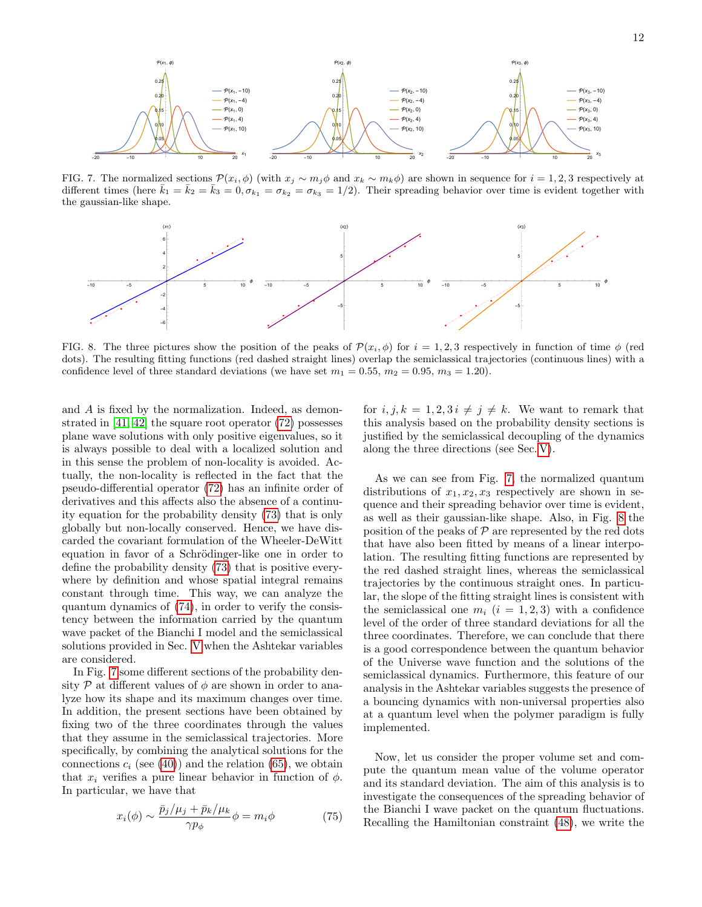

<span id="page-11-0"></span>FIG. 7. The normalized sections  $\mathcal{P}(x_i, \phi)$  (with  $x_j \sim m_j \phi$  and  $x_k \sim m_k \phi$ ) are shown in sequence for  $i = 1, 2, 3$  respectively at different times (here  $\bar{k}_1 = \bar{k}_2 = \bar{k}_3 = 0, \sigma_{k_1} = \sigma_{k_2} = \sigma_{k_3} = 1/2$ ). Their spreading behavior over time is evident together with the gaussian-like shape.



<span id="page-11-1"></span>FIG. 8. The three pictures show the position of the peaks of  $\mathcal{P}(x_i, \phi)$  for  $i = 1, 2, 3$  respectively in function of time  $\phi$  (red dots). The resulting fitting functions (red dashed straight lines) overlap the semiclassical trajectories (continuous lines) with a confidence level of three standard deviations (we have set  $m_1 = 0.55$ ,  $m_2 = 0.95$ ,  $m_3 = 1.20$ ).

and A is fixed by the normalization. Indeed, as demonstrated in [\[41,](#page-15-7) [42\]](#page-15-8) the square root operator [\(72\)](#page-10-2) possesses plane wave solutions with only positive eigenvalues, so it is always possible to deal with a localized solution and in this sense the problem of non-locality is avoided. Actually, the non-locality is reflected in the fact that the pseudo-differential operator [\(72\)](#page-10-2) has an infinite order of derivatives and this affects also the absence of a continuity equation for the probability density [\(73\)](#page-10-3) that is only globally but non-locally conserved. Hence, we have discarded the covariant formulation of the Wheeler-DeWitt equation in favor of a Schrödinger-like one in order to define the probability density [\(73\)](#page-10-3) that is positive everywhere by definition and whose spatial integral remains constant through time. This way, we can analyze the quantum dynamics of [\(74\)](#page-10-4), in order to verify the consistency between the information carried by the quantum wave packet of the Bianchi I model and the semiclassical solutions provided in Sec. [V](#page-5-0) when the Ashtekar variables are considered.

In Fig. [7](#page-11-0) some different sections of the probability density  $P$  at different values of  $\phi$  are shown in order to analyze how its shape and its maximum changes over time. In addition, the present sections have been obtained by fixing two of the three coordinates through the values that they assume in the semiclassical trajectories. More specifically, by combining the analytical solutions for the connections  $c_i$  (see [\(40\)](#page-5-7)) and the relation [\(65\)](#page-10-1), we obtain that  $x_i$  verifies a pure linear behavior in function of  $\phi$ . In particular, we have that

$$
x_i(\phi) \sim \frac{\bar{p}_j/\mu_j + \bar{p}_k/\mu_k}{\gamma p_\phi} \phi = m_i \phi \tag{75}
$$

for  $i, j, k = 1, 2, 3i \neq j \neq k$ . We want to remark that this analysis based on the probability density sections is justified by the semiclassical decoupling of the dynamics along the three directions (see Sec. [V\)](#page-5-0).

As we can see from Fig. [7,](#page-11-0) the normalized quantum distributions of  $x_1, x_2, x_3$  respectively are shown in sequence and their spreading behavior over time is evident, as well as their gaussian-like shape. Also, in Fig. [8](#page-11-1) the position of the peaks of  $P$  are represented by the red dots that have also been fitted by means of a linear interpolation. The resulting fitting functions are represented by the red dashed straight lines, whereas the semiclassical trajectories by the continuous straight ones. In particular, the slope of the fitting straight lines is consistent with the semiclassical one  $m_i$   $(i = 1, 2, 3)$  with a confidence level of the order of three standard deviations for all the three coordinates. Therefore, we can conclude that there is a good correspondence between the quantum behavior of the Universe wave function and the solutions of the semiclassical dynamics. Furthermore, this feature of our analysis in the Ashtekar variables suggests the presence of a bouncing dynamics with non-universal properties also at a quantum level when the polymer paradigm is fully implemented.

Now, let us consider the proper volume set and compute the quantum mean value of the volume operator and its standard deviation. The aim of this analysis is to investigate the consequences of the spreading behavior of the Bianchi I wave packet on the quantum fluctuations. Recalling the Hamiltonian constraint [\(48\)](#page-7-0), we write the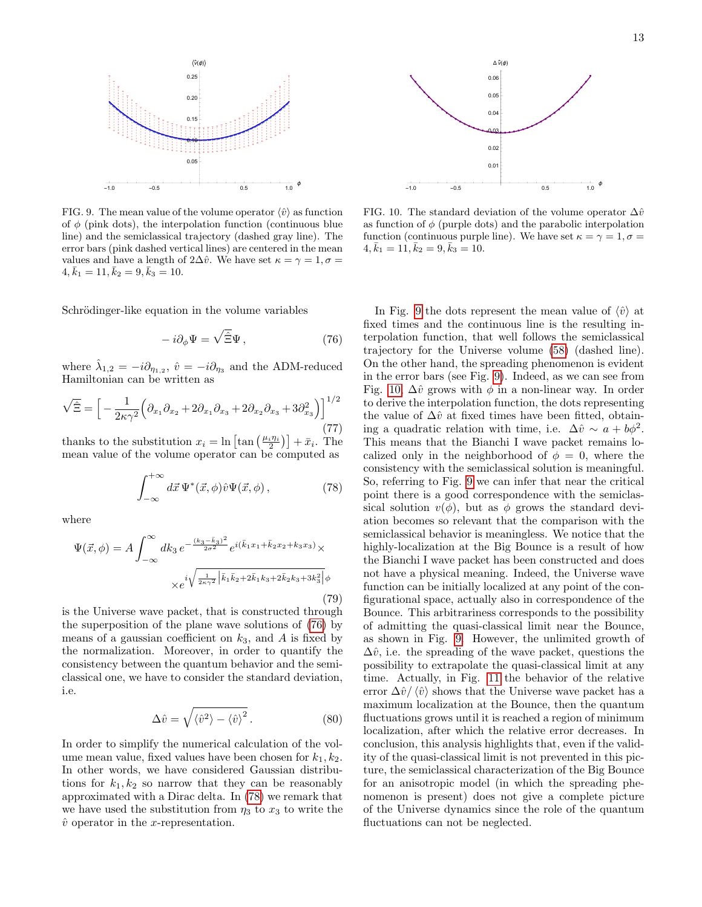

<span id="page-12-2"></span>FIG. 9. The mean value of the volume operator  $\langle \hat{v} \rangle$  as function of  $\phi$  (pink dots), the interpolation function (continuous blue line) and the semiclassical trajectory (dashed gray line). The error bars (pink dashed vertical lines) are centered in the mean values and have a length of  $2\Delta\hat{v}$ . We have set  $\kappa = \gamma = 1, \sigma =$  $4, \bar{k}_1 = 11, \bar{k}_2 = 9, \bar{k}_3 = 10.$ 

Schrödinger-like equation in the volume variables

<span id="page-12-0"></span>
$$
-i\partial_{\phi}\Psi = \sqrt{\hat{\Xi}}\Psi\,,\tag{76}
$$

where  $\hat{\lambda}_{1,2} = -i\partial_{\eta_{1,2}}, \hat{v} = -i\partial_{\eta_3}$  and the ADM-reduced Hamiltonian can be written as

$$
\sqrt{\hat{\Xi}} = \left[ -\frac{1}{2\kappa\gamma^2} \left( \partial_{x_1} \partial_{x_2} + 2\partial_{x_1} \partial_{x_3} + 2\partial_{x_2} \partial_{x_3} + 3\partial_{x_3}^2 \right) \right]^{1/2} \tag{77}
$$

thanks to the substitution  $x_i = \ln \left[ \tan \left( \frac{\mu_i \eta_i}{2} \right) \right] + \bar{x}_i$ . The mean value of the volume operator can be computed as

<span id="page-12-1"></span>
$$
\int_{-\infty}^{+\infty} d\vec{x} \, \Psi^*(\vec{x}, \phi) \hat{v} \Psi(\vec{x}, \phi) \,, \tag{78}
$$

where

$$
\Psi(\vec{x}, \phi) = A \int_{-\infty}^{\infty} dk_3 e^{-\frac{(k_3 - \bar{k}_3)^2}{2\sigma^2}} e^{i(\bar{k}_1 x_1 + \bar{k}_2 x_2 + k_3 x_3)} \times
$$

$$
\times e^{i \sqrt{\frac{1}{2\kappa \gamma^2} |\bar{k}_1 \bar{k}_2 + 2\bar{k}_1 k_3 + 2\bar{k}_2 k_3 + 3k_3^2|} \phi}
$$
(79)

is the Universe wave packet, that is constructed through the superposition of the plane wave solutions of [\(76\)](#page-12-0) by means of a gaussian coefficient on  $k_3$ , and A is fixed by the normalization. Moreover, in order to quantify the consistency between the quantum behavior and the semiclassical one, we have to consider the standard deviation, i.e.

$$
\Delta \hat{v} = \sqrt{\langle \hat{v}^2 \rangle - \langle \hat{v} \rangle^2}.
$$
 (80)

In order to simplify the numerical calculation of the volume mean value, fixed values have been chosen for  $k_1, k_2$ . In other words, we have considered Gaussian distributions for  $k_1, k_2$  so narrow that they can be reasonably approximated with a Dirac delta. In [\(78\)](#page-12-1) we remark that we have used the substitution from  $\eta_3$  to  $x_3$  to write the  $\hat{v}$  operator in the *x*-representation.



<span id="page-12-3"></span>FIG. 10. The standard deviation of the volume operator  $\Delta\hat{v}$ as function of  $\phi$  (purple dots) and the parabolic interpolation function (continuous purple line). We have set  $\kappa = \gamma = 1, \sigma =$  $4, \bar{k}_1 = 11, \bar{k}_2 = 9, \bar{k}_3 = 10.$ 

In Fig. [9](#page-12-2) the dots represent the mean value of  $\langle \hat{v} \rangle$  at fixed times and the continuous line is the resulting interpolation function, that well follows the semiclassical trajectory for the Universe volume [\(58\)](#page-8-5) (dashed line). On the other hand, the spreading phenomenon is evident in the error bars (see Fig. [9\)](#page-12-2). Indeed, as we can see from Fig. [10,](#page-12-3)  $\Delta \hat{v}$  grows with  $\phi$  in a non-linear way. In order to derive the interpolation function, the dots representing the value of  $\Delta \hat{v}$  at fixed times have been fitted, obtaining a quadratic relation with time, i.e.  $\Delta \hat{v} \sim a + b\phi^2$ . This means that the Bianchi I wave packet remains localized only in the neighborhood of  $\phi = 0$ , where the consistency with the semiclassical solution is meaningful. So, referring to Fig. [9](#page-12-2) we can infer that near the critical point there is a good correspondence with the semiclassical solution  $v(\phi)$ , but as  $\phi$  grows the standard deviation becomes so relevant that the comparison with the semiclassical behavior is meaningless. We notice that the highly-localization at the Big Bounce is a result of how the Bianchi I wave packet has been constructed and does not have a physical meaning. Indeed, the Universe wave function can be initially localized at any point of the configurational space, actually also in correspondence of the Bounce. This arbitrariness corresponds to the possibility of admitting the quasi-classical limit near the Bounce, as shown in Fig. [9.](#page-12-2) However, the unlimited growth of  $\Delta \hat{v}$ , i.e. the spreading of the wave packet, questions the possibility to extrapolate the quasi-classical limit at any time. Actually, in Fig. [11](#page-13-1) the behavior of the relative error  $\Delta \hat{v} / \langle \hat{v} \rangle$  shows that the Universe wave packet has a maximum localization at the Bounce, then the quantum fluctuations grows until it is reached a region of minimum localization, after which the relative error decreases. In conclusion, this analysis highlights that, even if the validity of the quasi-classical limit is not prevented in this picture, the semiclassical characterization of the Big Bounce for an anisotropic model (in which the spreading phenomenon is present) does not give a complete picture of the Universe dynamics since the role of the quantum fluctuations can not be neglected.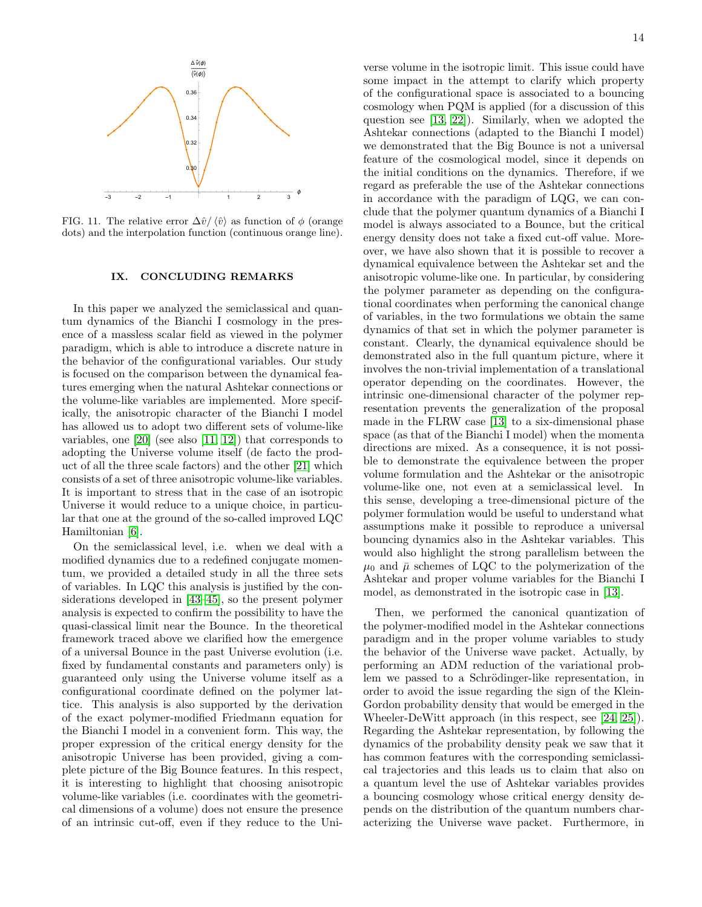

<span id="page-13-1"></span>FIG. 11. The relative error  $\Delta \hat{v} / \langle \hat{v} \rangle$  as function of  $\phi$  (orange dots) and the interpolation function (continuous orange line).

# <span id="page-13-0"></span>IX. CONCLUDING REMARKS

In this paper we analyzed the semiclassical and quantum dynamics of the Bianchi I cosmology in the presence of a massless scalar field as viewed in the polymer paradigm, which is able to introduce a discrete nature in the behavior of the configurational variables. Our study is focused on the comparison between the dynamical features emerging when the natural Ashtekar connections or the volume-like variables are implemented. More specifically, the anisotropic character of the Bianchi I model has allowed us to adopt two different sets of volume-like variables, one [\[20\]](#page-14-12) (see also [\[11,](#page-14-20) [12\]](#page-14-26)) that corresponds to adopting the Universe volume itself (de facto the product of all the three scale factors) and the other [\[21\]](#page-14-13) which consists of a set of three anisotropic volume-like variables. It is important to stress that in the case of an isotropic Universe it would reduce to a unique choice, in particular that one at the ground of the so-called improved LQC Hamiltonian [\[6\]](#page-14-8).

On the semiclassical level, i.e. when we deal with a modified dynamics due to a redefined conjugate momentum, we provided a detailed study in all the three sets of variables. In LQC this analysis is justified by the considerations developed in [\[43–](#page-15-9)[45\]](#page-15-10), so the present polymer analysis is expected to confirm the possibility to have the quasi-classical limit near the Bounce. In the theoretical framework traced above we clarified how the emergence of a universal Bounce in the past Universe evolution (i.e. fixed by fundamental constants and parameters only) is guaranteed only using the Universe volume itself as a configurational coordinate defined on the polymer lattice. This analysis is also supported by the derivation of the exact polymer-modified Friedmann equation for the Bianchi I model in a convenient form. This way, the proper expression of the critical energy density for the anisotropic Universe has been provided, giving a complete picture of the Big Bounce features. In this respect, it is interesting to highlight that choosing anisotropic volume-like variables (i.e. coordinates with the geometrical dimensions of a volume) does not ensure the presence of an intrinsic cut-off, even if they reduce to the Universe volume in the isotropic limit. This issue could have some impact in the attempt to clarify which property of the configurational space is associated to a bouncing cosmology when PQM is applied (for a discussion of this question see [\[13,](#page-14-3) [22\]](#page-14-14)). Similarly, when we adopted the Ashtekar connections (adapted to the Bianchi I model) we demonstrated that the Big Bounce is not a universal feature of the cosmological model, since it depends on the initial conditions on the dynamics. Therefore, if we regard as preferable the use of the Ashtekar connections in accordance with the paradigm of LQG, we can conclude that the polymer quantum dynamics of a Bianchi I model is always associated to a Bounce, but the critical energy density does not take a fixed cut-off value. Moreover, we have also shown that it is possible to recover a dynamical equivalence between the Ashtekar set and the anisotropic volume-like one. In particular, by considering the polymer parameter as depending on the configurational coordinates when performing the canonical change of variables, in the two formulations we obtain the same dynamics of that set in which the polymer parameter is constant. Clearly, the dynamical equivalence should be demonstrated also in the full quantum picture, where it involves the non-trivial implementation of a translational operator depending on the coordinates. However, the intrinsic one-dimensional character of the polymer representation prevents the generalization of the proposal made in the FLRW case [\[13\]](#page-14-3) to a six-dimensional phase space (as that of the Bianchi I model) when the momenta directions are mixed. As a consequence, it is not possible to demonstrate the equivalence between the proper volume formulation and the Ashtekar or the anisotropic volume-like one, not even at a semiclassical level. In this sense, developing a tree-dimensional picture of the polymer formulation would be useful to understand what assumptions make it possible to reproduce a universal bouncing dynamics also in the Ashtekar variables. This would also highlight the strong parallelism between the  $\mu_0$  and  $\bar{\mu}$  schemes of LQC to the polymerization of the Ashtekar and proper volume variables for the Bianchi I model, as demonstrated in the isotropic case in [\[13\]](#page-14-3).

Then, we performed the canonical quantization of the polymer-modified model in the Ashtekar connections paradigm and in the proper volume variables to study the behavior of the Universe wave packet. Actually, by performing an ADM reduction of the variational problem we passed to a Schrödinger-like representation, in order to avoid the issue regarding the sign of the Klein-Gordon probability density that would be emerged in the Wheeler-DeWitt approach (in this respect, see [\[24,](#page-14-16) [25\]](#page-14-17)). Regarding the Ashtekar representation, by following the dynamics of the probability density peak we saw that it has common features with the corresponding semiclassical trajectories and this leads us to claim that also on a quantum level the use of Ashtekar variables provides a bouncing cosmology whose critical energy density depends on the distribution of the quantum numbers characterizing the Universe wave packet. Furthermore, in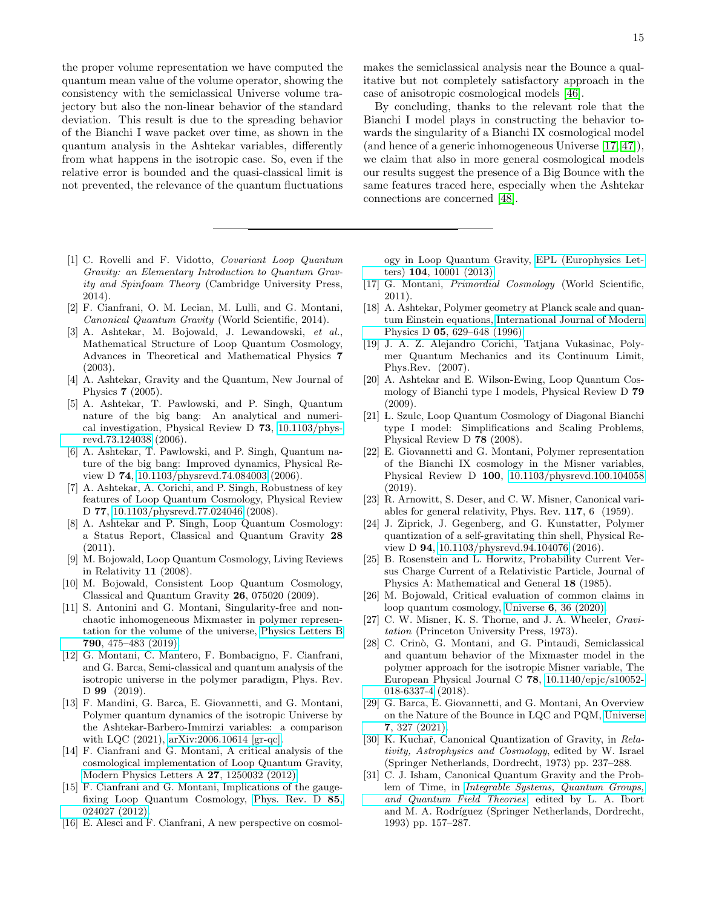the proper volume representation we have computed the quantum mean value of the volume operator, showing the consistency with the semiclassical Universe volume trajectory but also the non-linear behavior of the standard deviation. This result is due to the spreading behavior of the Bianchi I wave packet over time, as shown in the quantum analysis in the Ashtekar variables, differently from what happens in the isotropic case. So, even if the relative error is bounded and the quasi-classical limit is not prevented, the relevance of the quantum fluctuations

- <span id="page-14-0"></span>[1] C. Rovelli and F. Vidotto, Covariant Loop Quantum Gravity: an Elementary Introduction to Quantum Gravity and Spinfoam Theory (Cambridge University Press, 2014).
- <span id="page-14-1"></span>[2] F. Cianfrani, O. M. Lecian, M. Lulli, and G. Montani, Canonical Quantum Gravity (World Scientific, 2014).
- <span id="page-14-2"></span>[3] A. Ashtekar, M. Bojowald, J. Lewandowski, et al., Mathematical Structure of Loop Quantum Cosmology, Advances in Theoretical and Mathematical Physics 7 (2003).
- [4] A. Ashtekar, Gravity and the Quantum, New Journal of Physics 7 (2005).
- <span id="page-14-7"></span>[5] A. Ashtekar, T. Pawlowski, and P. Singh, Quantum nature of the big bang: An analytical and numerical investigation, Physical Review D 73, [10.1103/phys](https://doi.org/10.1103/physrevd.73.124038)[revd.73.124038](https://doi.org/10.1103/physrevd.73.124038) (2006).
- <span id="page-14-8"></span>[6] A. Ashtekar, T. Pawlowski, and P. Singh, Quantum nature of the big bang: Improved dynamics, Physical Review D 74, [10.1103/physrevd.74.084003](https://doi.org/10.1103/physrevd.74.084003) (2006).
- <span id="page-14-6"></span>[7] A. Ashtekar, A. Corichi, and P. Singh, Robustness of key features of Loop Quantum Cosmology, Physical Review D 77, [10.1103/physrevd.77.024046](https://doi.org/10.1103/physrevd.77.024046) (2008).
- <span id="page-14-25"></span>[8] A. Ashtekar and P. Singh, Loop Quantum Cosmology: a Status Report, Classical and Quantum Gravity 28 (2011).
- [9] M. Bojowald, Loop Quantum Cosmology, Living Reviews in Relativity 11 (2008).
- [10] M. Bojowald, Consistent Loop Quantum Cosmology, Classical and Quantum Gravity 26, 075020 (2009).
- <span id="page-14-20"></span>[11] S. Antonini and G. Montani, Singularity-free and nonchaotic inhomogeneous Mixmaster in polymer representation for the volume of the universe, [Physics Letters B](https://doi.org/10.1016/j.physletb.2019.01.050) 790[, 475–483 \(2019\).](https://doi.org/10.1016/j.physletb.2019.01.050)
- <span id="page-14-26"></span>[12] G. Montani, C. Mantero, F. Bombacigno, F. Cianfrani, and G. Barca, Semi-classical and quantum analysis of the isotropic universe in the polymer paradigm, Phys. Rev. D 99 (2019).
- <span id="page-14-3"></span>[13] F. Mandini, G. Barca, E. Giovannetti, and G. Montani, Polymer quantum dynamics of the isotropic Universe by the Ashtekar-Barbero-Immirzi variables: a comparison with LQC (2021), [arXiv:2006.10614 \[gr-qc\].](https://arxiv.org/abs/2006.10614)
- <span id="page-14-4"></span>[14] F. Cianfrani and G. Montani, A critical analysis of the cosmological implementation of Loop Quantum Gravity, [Modern Physics Letters A](https://doi.org/10.1142/s0217732312500320) 27, 1250032 (2012).
- [15] F. Cianfrani and G. Montani, Implications of the gaugefixing Loop Quantum Cosmology, [Phys. Rev. D](https://doi.org/10.1103/PhysRevD.85.024027) 85, [024027 \(2012\).](https://doi.org/10.1103/PhysRevD.85.024027)
- <span id="page-14-5"></span>[16] E. Alesci and F. Cianfrani, A new perspective on cosmol-

makes the semiclassical analysis near the Bounce a qualitative but not completely satisfactory approach in the case of anisotropic cosmological models [\[46\]](#page-15-11).

By concluding, thanks to the relevant role that the Bianchi I model plays in constructing the behavior towards the singularity of a Bianchi IX cosmological model (and hence of a generic inhomogeneous Universe [\[17,](#page-14-9) [47\]](#page-15-12)), we claim that also in more general cosmological models our results suggest the presence of a Big Bounce with the same features traced here, especially when the Ashtekar connections are concerned [\[48\]](#page-15-13).

ogy in Loop Quantum Gravity, [EPL \(Europhysics Let](https://doi.org/10.1209/0295-5075/104/10001)ters) 104[, 10001 \(2013\).](https://doi.org/10.1209/0295-5075/104/10001)

- <span id="page-14-9"></span>[17] G. Montani, Primordial Cosmology (World Scientific, 2011).
- <span id="page-14-10"></span>[18] A. Ashtekar, Polymer geometry at Planck scale and quantum Einstein equations, [International Journal of Modern](https://doi.org/10.1142/s0218271896000400) Physics D 05[, 629–648 \(1996\).](https://doi.org/10.1142/s0218271896000400)
- <span id="page-14-11"></span>[19] J. A. Z. Alejandro Corichi, Tatjana Vukasinac, Polymer Quantum Mechanics and its Continuum Limit, Phys.Rev. (2007).
- <span id="page-14-12"></span>[20] A. Ashtekar and E. Wilson-Ewing, Loop Quantum Cosmology of Bianchi type I models, Physical Review D 79 (2009).
- <span id="page-14-13"></span>[21] L. Szulc, Loop Quantum Cosmology of Diagonal Bianchi type I model: Simplifications and Scaling Problems, Physical Review D 78 (2008).
- <span id="page-14-14"></span>[22] E. Giovannetti and G. Montani, Polymer representation of the Bianchi IX cosmology in the Misner variables, Physical Review D 100, [10.1103/physrevd.100.104058](https://doi.org/10.1103/physrevd.100.104058) (2019).
- <span id="page-14-15"></span>[23] R. Arnowitt, S. Deser, and C. W. Misner, Canonical variables for general relativity, Phys. Rev. 117, 6 (1959).
- <span id="page-14-16"></span>[24] J. Ziprick, J. Gegenberg, and G. Kunstatter, Polymer quantization of a self-gravitating thin shell, Physical Review D 94, [10.1103/physrevd.94.104076](https://doi.org/10.1103/physrevd.94.104076) (2016).
- <span id="page-14-17"></span>[25] B. Rosenstein and L. Horwitz, Probability Current Versus Charge Current of a Relativistic Particle, Journal of Physics A: Mathematical and General 18 (1985).
- <span id="page-14-18"></span>[26] M. Bojowald, Critical evaluation of common claims in loop quantum cosmology, Universe 6[, 36 \(2020\).](https://doi.org/10.3390/universe6030036)
- <span id="page-14-19"></span>[27] C. W. Misner, K. S. Thorne, and J. A. Wheeler, *Gravi*tation (Princeton University Press, 1973).
- <span id="page-14-21"></span>[28] C. Crinò, G. Montani, and G. Pintaudi, Semiclassical and quantum behavior of the Mixmaster model in the polymer approach for the isotropic Misner variable, The European Physical Journal C 78, [10.1140/epjc/s10052-](https://doi.org/10.1140/epjc/s10052-018-6337-4) [018-6337-4](https://doi.org/10.1140/epjc/s10052-018-6337-4) (2018).
- <span id="page-14-22"></span>[29] G. Barca, E. Giovannetti, and G. Montani, An Overview on the Nature of the Bounce in LQC and PQM, [Universe](https://doi.org/10.3390/universe7090327) 7[, 327 \(2021\).](https://doi.org/10.3390/universe7090327)
- <span id="page-14-23"></span>[30] K. Kuchař, Canonical Quantization of Gravity, in Relativity, Astrophysics and Cosmology, edited by W. Israel (Springer Netherlands, Dordrecht, 1973) pp. 237–288.
- <span id="page-14-24"></span>[31] C. J. Isham, Canonical Quantum Gravity and the Problem of Time, in [Integrable Systems, Quantum Groups,](https://doi.org/10.1007/978-94-011-1980-1_6) [and Quantum Field Theories](https://doi.org/10.1007/978-94-011-1980-1_6), edited by L. A. Ibort and M. A. Rodríguez (Springer Netherlands, Dordrecht, 1993) pp. 157–287.